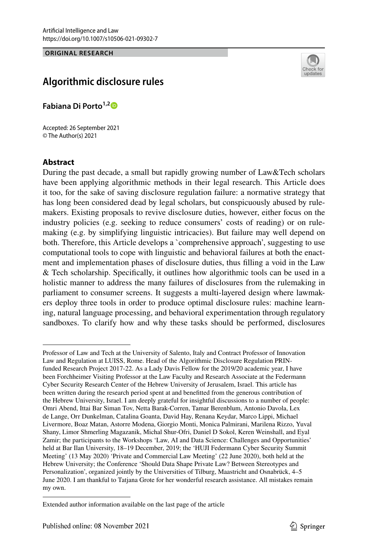### **ORIGINAL RESEARCH**



# **Algorithmic disclosure rules**

**Fabiana Di Porto1,[2](http://orcid.org/0000-0002-4420-9741)**

Accepted: 26 September 2021 © The Author(s) 2021

### **Abstract**

During the past decade, a small but rapidly growing number of Law&Tech scholars have been applying algorithmic methods in their legal research. This Article does it too, for the sake of saving disclosure regulation failure: a normative strategy that has long been considered dead by legal scholars, but conspicuously abused by rulemakers. Existing proposals to revive disclosure duties, however, either focus on the industry policies (e.g. seeking to reduce consumers' costs of reading) or on rulemaking (e.g. by simplifying linguistic intricacies). But failure may well depend on both. Therefore, this Article develops a `comprehensive approach', suggesting to use computational tools to cope with linguistic and behavioral failures at both the enactment and implementation phases of disclosure duties, thus flling a void in the Law & Tech scholarship. Specifcally, it outlines how algorithmic tools can be used in a holistic manner to address the many failures of disclosures from the rulemaking in parliament to consumer screens. It suggests a multi-layered design where lawmakers deploy three tools in order to produce optimal disclosure rules: machine learning, natural language processing, and behavioral experimentation through regulatory sandboxes. To clarify how and why these tasks should be performed, disclosures

Professor of Law and Tech at the University of Salento, Italy and Contract Professor of Innovation Law and Regulation at LUISS, Rome. Head of the Algorithmic Disclosure Regulation PRINfunded Research Project 2017-22. As a Lady Davis Fellow for the 2019/20 academic year, I have been Forchheimer Visiting Professor at the Law Faculty and Research Associate at the Federmann Cyber Security Research Center of the Hebrew University of Jerusalem, Israel. This article has been written during the research period spent at and beneftted from the generous contribution of the Hebrew University, Israel. I am deeply grateful for insightful discussions to a number of people: Omri Abend, Ittai Bar Siman Tov, Netta Barak-Corren, Tamar Berenblum, Antonio Davola, Lex de Lange, Orr Dunkelman, Catalina Goanta, David Hay, Renana Keydar, Marco Lippi, Michael Livermore, Boaz Matan, Astorre Modena, Giorgio Monti, Monica Palmirani, Marilena Rizzo, Yuval Shany, Limor Shmerling Magazanik, Michal Shur-Ofri, Daniel D Sokol, Keren Weinshall, and Eyal Zamir; the participants to the Workshops 'Law, AI and Data Science: Challenges and Opportunities' held at Bar Ilan University, 18–19 December, 2019; the 'HUJI Federmann Cyber Security Summit Meeting' (13 May 2020) 'Private and Commercial Law Meeting' (22 June 2020), both held at the Hebrew University; the Conference 'Should Data Shape Private Law? Between Stereotypes and Personalization', organized jointly by the Universities of Tilburg, Maastricht and Osnabrück, 4–5 June 2020. I am thankful to Tatjana Grote for her wonderful research assistance. All mistakes remain my own.

Extended author information available on the last page of the article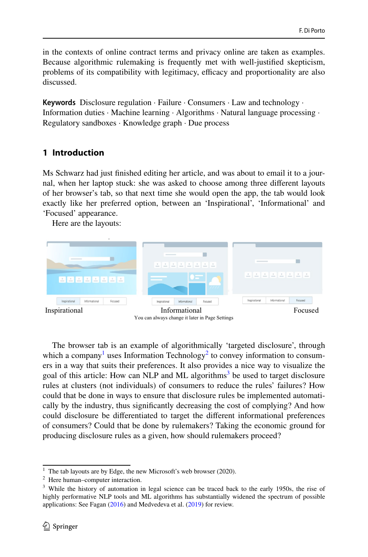in the contexts of online contract terms and privacy online are taken as examples. Because algorithmic rulemaking is frequently met with well-justifed skepticism, problems of its compatibility with legitimacy, efficacy and proportionality are also discussed.

**Keywords** Disclosure regulation · Failure · Consumers · Law and technology · Information duties · Machine learning · Algorithms · Natural language processing · Regulatory sandboxes · Knowledge graph · Due process

## <span id="page-1-3"></span>**1 Introduction**

Ms Schwarz had just fnished editing her article, and was about to email it to a journal, when her laptop stuck: she was asked to choose among three diferent layouts of her browser's tab, so that next time she would open the app, the tab would look exactly like her preferred option, between an 'Inspirational', 'Informational' and 'Focused' appearance.

Here are the layouts:



The browser tab is an example of algorithmically 'targeted disclosure', through which a company<sup>[1](#page-1-0)</sup> uses Information Technology<sup>[2](#page-1-1)</sup> to convey information to consumers in a way that suits their preferences. It also provides a nice way to visualize the goal of this article: How can NLP and ML algorithms<sup>[3](#page-1-2)</sup> be used to target disclosure rules at clusters (not individuals) of consumers to reduce the rules' failures? How could that be done in ways to ensure that disclosure rules be implemented automatically by the industry, thus signifcantly decreasing the cost of complying? And how could disclosure be diferentiated to target the diferent informational preferences of consumers? Could that be done by rulemakers? Taking the economic ground for producing disclosure rules as a given, how should rulemakers proceed?

<span id="page-1-0"></span><sup>&</sup>lt;sup>1</sup> The tab layouts are by Edge, the new Microsoft's web browser (2020).

<span id="page-1-1"></span><sup>2</sup> Here human–computer interaction.

<span id="page-1-2"></span><sup>&</sup>lt;sup>3</sup> While the history of automation in legal science can be traced back to the early 1950s, the rise of highly performative NLP tools and ML algorithms has substantially widened the spectrum of possible applications: See Fagan ([2016\)](#page-36-0) and Medvedeva et al. ([2019\)](#page-36-1) for review.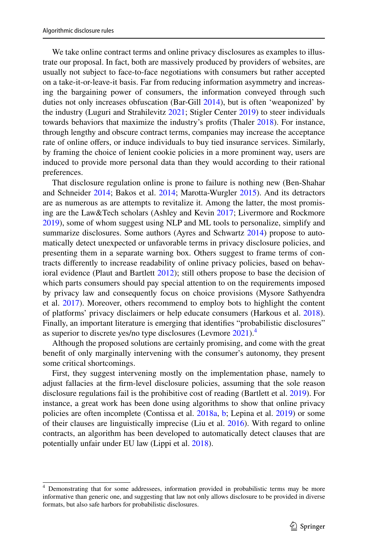We take online contract terms and online privacy disclosures as examples to illustrate our proposal. In fact, both are massively produced by providers of websites, are usually not subject to face-to-face negotiations with consumers but rather accepted on a take-it-or-leave-it basis. Far from reducing information asymmetry and increasing the bargaining power of consumers, the information conveyed through such duties not only increases obfuscation (Bar-Gill [2014](#page-35-0)), but is often 'weaponized' by the industry (Luguri and Strahilevitz [2021](#page-36-2); Stigler Center [2019\)](#page-37-0) to steer individuals towards behaviors that maximize the industry's profts (Thaler [2018](#page-37-1)). For instance, through lengthy and obscure contract terms, companies may increase the acceptance rate of online offers, or induce individuals to buy tied insurance services. Similarly, by framing the choice of lenient cookie policies in a more prominent way, users are induced to provide more personal data than they would according to their rational preferences.

That disclosure regulation online is prone to failure is nothing new (Ben-Shahar and Schneider [2014;](#page-35-1) Bakos et al. [2014;](#page-35-2) Marotta-Wurgler [2015\)](#page-36-3). And its detractors are as numerous as are attempts to revitalize it. Among the latter, the most promising are the Law&Tech scholars (Ashley and Kevin [2017;](#page-35-3) Livermore and Rockmore [2019](#page-36-4)), some of whom suggest using NLP and ML tools to personalize, simplify and summarize disclosures. Some authors (Ayres and Schwartz [2014](#page-35-4)) propose to automatically detect unexpected or unfavorable terms in privacy disclosure policies, and presenting them in a separate warning box. Others suggest to frame terms of contracts diferently to increase readability of online privacy policies, based on behavioral evidence (Plaut and Bartlett [2012](#page-37-2)); still others propose to base the decision of which parts consumers should pay special attention to on the requirements imposed by privacy law and consequently focus on choice provisions (Mysore Sathyendra et al. [2017](#page-37-3)). Moreover, others recommend to employ bots to highlight the content of platforms' privacy disclaimers or help educate consumers (Harkous et al. [2018\)](#page-36-5). Finally, an important literature is emerging that identifes "probabilistic disclosures" as superior to discrete yes/no type disclosures (Levmore [2021\)](#page-36-6).[4](#page-2-0)

Although the proposed solutions are certainly promising, and come with the great beneft of only marginally intervening with the consumer's autonomy, they present some critical shortcomings.

First, they suggest intervening mostly on the implementation phase, namely to adjust fallacies at the frm-level disclosure policies, assuming that the sole reason disclosure regulations fail is the prohibitive cost of reading (Bartlett et al. [2019](#page-35-5)). For instance, a great work has been done using algorithms to show that online privacy policies are often incomplete (Contissa et al. [2018a,](#page-35-6) [b](#page-35-7); Lepina et al. [2019\)](#page-36-7) or some of their clauses are linguistically imprecise (Liu et al. [2016\)](#page-36-8). With regard to online contracts, an algorithm has been developed to automatically detect clauses that are potentially unfair under EU law (Lippi et al. [2018](#page-36-9)).

<span id="page-2-0"></span><sup>4</sup> Demonstrating that for some addressees, information provided in probabilistic terms may be more informative than generic one, and suggesting that law not only allows disclosure to be provided in diverse formats, but also safe harbors for probabilistic disclosures.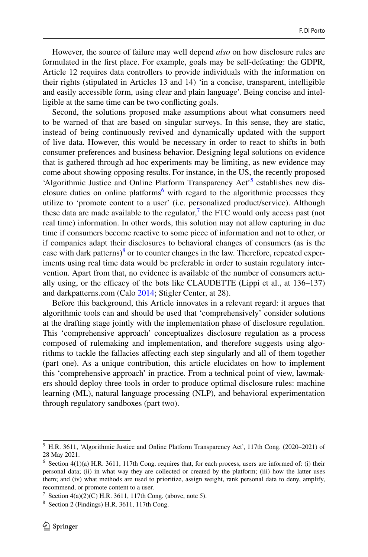However, the source of failure may well depend *also* on how disclosure rules are formulated in the frst place. For example, goals may be self-defeating: the GDPR, Article 12 requires data controllers to provide individuals with the information on their rights (stipulated in Articles 13 and 14) 'in a concise, transparent, intelligible and easily accessible form, using clear and plain language'. Being concise and intelligible at the same time can be two conficting goals.

Second, the solutions proposed make assumptions about what consumers need to be warned of that are based on singular surveys. In this sense, they are static, instead of being continuously revived and dynamically updated with the support of live data. However, this would be necessary in order to react to shifts in both consumer preferences and business behavior. Designing legal solutions on evidence that is gathered through ad hoc experiments may be limiting, as new evidence may come about showing opposing results. For instance, in the US, the recently proposed 'Algorithmic Justice and Online Platform Transparency Act<sup>3</sup> establishes new dis-closure duties on online platforms<sup>[6](#page-3-1)</sup> with regard to the algorithmic processes they utilize to 'promote content to a user' (i.e. personalized product/service). Although these data are made available to the regulator, $\frac{7}{1}$  $\frac{7}{1}$  $\frac{7}{1}$  the FTC would only access past (not real time) information. In other words, this solution may not allow capturing in due time if consumers become reactive to some piece of information and not to other, or if companies adapt their disclosures to behavioral changes of consumers (as is the case with dark patterns)<sup>8</sup> or to counter changes in the law. Therefore, repeated experiments using real time data would be preferable in order to sustain regulatory intervention. Apart from that, no evidence is available of the number of consumers actually using, or the efficacy of the bots like CLAUDETTE (Lippi et al., at  $136-137$ ) and darkpatterns.com (Calo [2014](#page-35-8); Stigler Center, at 28).

Before this background, this Article innovates in a relevant regard: it argues that algorithmic tools can and should be used that 'comprehensively' consider solutions at the drafting stage jointly with the implementation phase of disclosure regulation. This 'comprehensive approach' conceptualizes disclosure regulation as a process composed of rulemaking and implementation, and therefore suggests using algorithms to tackle the fallacies afecting each step singularly and all of them together (part one). As a unique contribution, this article elucidates on how to implement this 'comprehensive approach' in practice. From a technical point of view, lawmakers should deploy three tools in order to produce optimal disclosure rules: machine learning (ML), natural language processing (NLP), and behavioral experimentation through regulatory sandboxes (part two).

<span id="page-3-0"></span><sup>5</sup> H.R. 3611, 'Algorithmic Justice and Online Platform Transparency Act', 117th Cong. (2020–2021) of 28 May 2021.

<span id="page-3-1"></span> $6$  Section 4(1)(a) H.R. 3611, 117th Cong. requires that, for each process, users are informed of: (i) their personal data; (ii) in what way they are collected or created by the platform; (iii) how the latter uses them; and (iv) what methods are used to prioritize, assign weight, rank personal data to deny, amplify, recommend, or promote content to a user.

<span id="page-3-2"></span><sup>&</sup>lt;sup>7</sup> Section  $4(a)(2)(C)$  H.R. 3611, 117th Cong. (above, note 5).

<span id="page-3-3"></span><sup>8</sup> Section 2 (Findings) H.R. 3611, 117th Cong.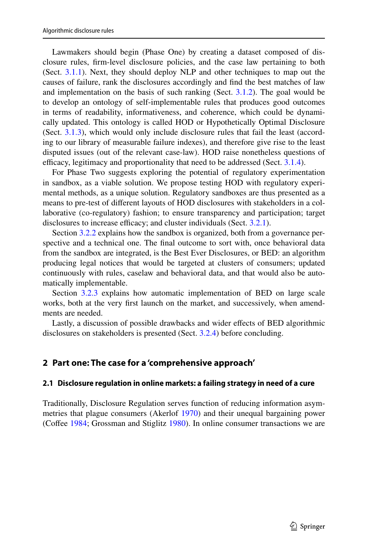Lawmakers should begin (Phase One) by creating a dataset composed of disclosure rules, frm-level disclosure policies, and the case law pertaining to both (Sect. [3.1.1\)](#page-7-0). Next, they should deploy NLP and other techniques to map out the causes of failure, rank the disclosures accordingly and fnd the best matches of law and implementation on the basis of such ranking (Sect. [3.1.2\)](#page-10-0). The goal would be to develop an ontology of self-implementable rules that produces good outcomes in terms of readability, informativeness, and coherence, which could be dynamically updated. This ontology is called HOD or Hypothetically Optimal Disclosure (Sect. [3.1.3](#page-7-1)), which would only include disclosure rules that fail the least (according to our library of measurable failure indexes), and therefore give rise to the least disputed issues (out of the relevant case-law). HOD raise nonetheless questions of efficacy, legitimacy and proportionality that need to be addressed (Sect.  $3.1.4$ ).

For Phase Two suggests exploring the potential of regulatory experimentation in sandbox, as a viable solution. We propose testing HOD with regulatory experimental methods, as a unique solution. Regulatory sandboxes are thus presented as a means to pre-test of diferent layouts of HOD disclosures with stakeholders in a collaborative (co-regulatory) fashion; to ensure transparency and participation; target disclosures to increase efficacy; and cluster individuals (Sect.  $3.2.1$ ).

Section [3.2.2](#page-25-0) explains how the sandbox is organized, both from a governance perspective and a technical one. The fnal outcome to sort with, once behavioral data from the sandbox are integrated, is the Best Ever Disclosures, or BED: an algorithm producing legal notices that would be targeted at clusters of consumers; updated continuously with rules, caselaw and behavioral data, and that would also be automatically implementable.

Section [3.2.3](#page-28-0) explains how automatic implementation of BED on large scale works, both at the very frst launch on the market, and successively, when amendments are needed.

Lastly, a discussion of possible drawbacks and wider efects of BED algorithmic disclosures on stakeholders is presented (Sect. [3.2.4](#page-31-0)) before concluding.

### <span id="page-4-0"></span>**2 Part one: The case for a 'comprehensive approach'**

### **2.1 Disclosure regulation in online markets: a failing strategy in need of a cure**

Traditionally, Disclosure Regulation serves function of reducing information asymmetries that plague consumers (Akerlof [1970](#page-35-9)) and their unequal bargaining power (Cofee [1984;](#page-35-10) Grossman and Stiglitz [1980\)](#page-36-10). In online consumer transactions we are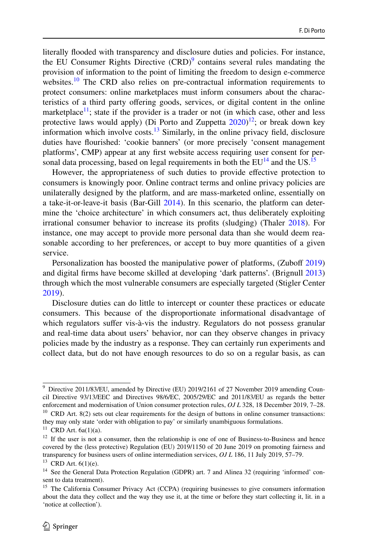literally fooded with transparency and disclosure duties and policies. For instance, the EU Consumer Rights Directive  $(CRD)^9$  $(CRD)^9$  contains several rules mandating the provision of information to the point of limiting the freedom to design e-commerce websites.<sup>10</sup> The CRD also relies on pre-contractual information requirements to protect consumers: online marketplaces must inform consumers about the characteristics of a third party ofering goods, services, or digital content in the online marketplace<sup>11</sup>; state if the provider is a trader or not (in which case, other and less protective laws would apply) (Di Porto and Zuppetta  $2020$ )<sup>12</sup>; or break down key information which involve costs.<sup>13</sup> Similarly, in the online privacy field, disclosure duties have fourished: 'cookie banners' (or more precisely 'consent management platforms', CMP) appear at any frst website access requiring user consent for personal data processing, based on legal requirements in both the  $EU^{14}$  and the US.<sup>[15](#page-5-6)</sup>

However, the appropriateness of such duties to provide efective protection to consumers is knowingly poor. Online contract terms and online privacy policies are unilaterally designed by the platform, and are mass-marketed online, essentially on a take-it-or-leave-it basis (Bar-Gill [2014\)](#page-35-0). In this scenario, the platform can determine the 'choice architecture' in which consumers act, thus deliberately exploiting irrational consumer behavior to increase its profts (sludging) (Thaler [2018\)](#page-37-1). For instance, one may accept to provide more personal data than she would deem reasonable according to her preferences, or accept to buy more quantities of a given service.

Personalization has boosted the manipulative power of platforms, (Zuboff [2019](#page-37-4)) and digital frms have become skilled at developing 'dark patterns'. (Brignull [2013](#page-35-11)) through which the most vulnerable consumers are especially targeted (Stigler Center [2019](#page-37-0)).

Disclosure duties can do little to intercept or counter these practices or educate consumers. This because of the disproportionate informational disadvantage of which regulators suffer vis-à-vis the industry. Regulators do not possess granular and real-time data about users' behavior, nor can they observe changes in privacy policies made by the industry as a response. They can certainly run experiments and collect data, but do not have enough resources to do so on a regular basis, as can

<span id="page-5-0"></span> $10$  CRD Art. 8(2) sets out clear requirements for the design of buttons in online consumer transactions: they may only state 'order with obligation to pay' or similarly unambiguous formulations. <sup>9</sup> Directive 2011/83/EU, amended by Directive (EU) 2019/2161 of 27 November 2019 amending Council Directive 93/13/EEC and Directives 98/6/EC, 2005/29/EC and 2011/83/EU as regards the better enforcement and modernisation of Union consumer protection rules, *OJ L* 328, 18 December 2019, 7–28.

<span id="page-5-2"></span><span id="page-5-1"></span> $11$  CRD Art.  $6a(1)(a)$ .

<span id="page-5-3"></span><sup>&</sup>lt;sup>12</sup> If the user is not a consumer, then the relationship is one of one of Business-to-Business and hence covered by the (less protective) Regulation (EU) 2019/1150 of 20 June 2019 on promoting fairness and transparency for business users of online intermediation services, *OJ L* 186, 11 July 2019, 57–79.

<span id="page-5-4"></span> $13$  CRD Art.  $6(1)(e)$ .

<span id="page-5-5"></span><sup>&</sup>lt;sup>14</sup> See the General Data Protection Regulation (GDPR) art. 7 and Alinea 32 (requiring 'informed' consent to data treatment).

<span id="page-5-6"></span><sup>&</sup>lt;sup>15</sup> The California Consumer Privacy Act (CCPA) (requiring businesses to give consumers information about the data they collect and the way they use it, at the time or before they start collecting it, lit. in a 'notice at collection').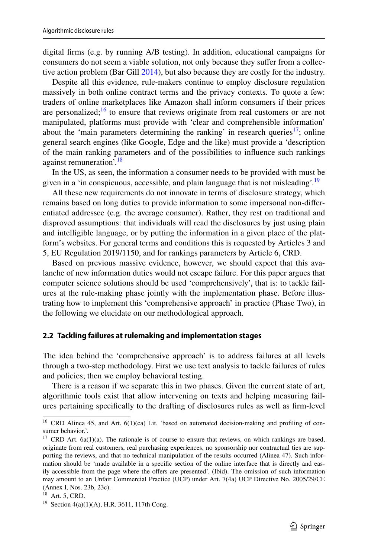digital frms (e.g. by running A/B testing). In addition, educational campaigns for consumers do not seem a viable solution, not only because they sufer from a collective action problem (Bar Gill [2014\)](#page-35-0), but also because they are costly for the industry.

Despite all this evidence, rule-makers continue to employ disclosure regulation massively in both online contract terms and the privacy contexts. To quote a few: traders of online marketplaces like Amazon shall inform consumers if their prices are personalized;<sup>[16](#page-6-0)</sup> to ensure that reviews originate from real customers or are not manipulated, platforms must provide with 'clear and comprehensible information' about the 'main parameters determining the ranking' in research queries<sup>17</sup>; online general search engines (like Google, Edge and the like) must provide a 'description of the main ranking parameters and of the possibilities to infuence such rankings against remuneration'.<sup>[18](#page-6-2)</sup>

In the US, as seen, the information a consumer needs to be provided with must be given in a 'in conspicuous, accessible, and plain language that is not misleading'.<sup>[19](#page-6-3)</sup>

All these new requirements do not innovate in terms of disclosure strategy, which remains based on long duties to provide information to some impersonal non-diferentiated addressee (e.g. the average consumer). Rather, they rest on traditional and disproved assumptions: that individuals will read the disclosures by just using plain and intelligible language, or by putting the information in a given place of the platform's websites. For general terms and conditions this is requested by Articles 3 and 5, EU Regulation 2019/1150, and for rankings parameters by Article 6, CRD.

Based on previous massive evidence, however, we should expect that this avalanche of new information duties would not escape failure. For this paper argues that computer science solutions should be used 'comprehensively', that is: to tackle failures at the rule-making phase jointly with the implementation phase. Before illustrating how to implement this 'comprehensive approach' in practice (Phase Two), in the following we elucidate on our methodological approach.

#### **2.2 Tackling failures at rulemaking and implementation stages**

The idea behind the 'comprehensive approach' is to address failures at all levels through a two-step methodology. First we use text analysis to tackle failures of rules and policies; then we employ behavioral testing.

There is a reason if we separate this in two phases. Given the current state of art, algorithmic tools exist that allow intervening on texts and helping measuring failures pertaining specifcally to the drafting of disclosures rules as well as frm-level

<span id="page-6-0"></span><sup>&</sup>lt;sup>16</sup> CRD Alinea 45, and Art. 6(1)(ea) Lit. 'based on automated decision-making and profiling of consumer behavior.'.

<span id="page-6-1"></span> $17$  CRD Art. 6a(1)(a). The rationale is of course to ensure that reviews, on which rankings are based, originate from real customers, real purchasing experiences, no sponsorship nor contractual ties are supporting the reviews, and that no technical manipulation of the results occurred (Alinea 47). Such information should be 'made available in a specifc section of the online interface that is directly and easily accessible from the page where the ofers are presented'. (Ibid). The omission of such information may amount to an Unfair Commercial Practice (UCP) under Art. 7(4a) UCP Directive No. 2005/29/CE (Annex I, Nos. 23b, 23c).

<span id="page-6-2"></span><sup>18</sup> Art. 5, CRD.

<span id="page-6-3"></span><sup>19</sup> Section 4(a)(1)(A), H.R. 3611, 117th Cong.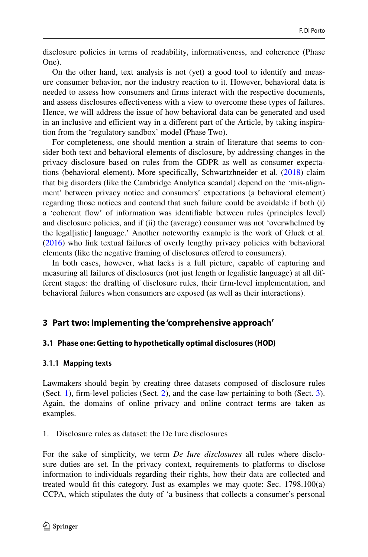disclosure policies in terms of readability, informativeness, and coherence (Phase One).

On the other hand, text analysis is not (yet) a good tool to identify and measure consumer behavior, nor the industry reaction to it. However, behavioral data is needed to assess how consumers and frms interact with the respective documents, and assess disclosures efectiveness with a view to overcome these types of failures. Hence, we will address the issue of how behavioral data can be generated and used in an inclusive and efficient way in a different part of the Article, by taking inspiration from the 'regulatory sandbox' model (Phase Two).

For completeness, one should mention a strain of literature that seems to consider both text and behavioral elements of disclosure, by addressing changes in the privacy disclosure based on rules from the GDPR as well as consumer expectations (behavioral element). More specifcally, Schwartzhneider et al. [\(2018](#page-37-5)) claim that big disorders (like the Cambridge Analytica scandal) depend on the 'mis-alignment' between privacy notice and consumers' expectations (a behavioral element) regarding those notices and contend that such failure could be avoidable if both (i) a 'coherent fow' of information was identifable between rules (principles level) and disclosure policies, and if (ii) the (average) consumer was not 'overwhelmed by the legal[istic] language.' Another noteworthy example is the work of Gluck et al. [\(2016](#page-36-12)) who link textual failures of overly lengthy privacy policies with behavioral elements (like the negative framing of disclosures ofered to consumers).

In both cases, however, what lacks is a full picture, capable of capturing and measuring all failures of disclosures (not just length or legalistic language) at all different stages: the drafting of disclosure rules, their frm-level implementation, and behavioral failures when consumers are exposed (as well as their interactions).

## <span id="page-7-2"></span>**3 Part two: Implementing the 'comprehensive approach'**

### <span id="page-7-1"></span>**3.1 Phase one: Getting to hypothetically optimal disclosures (HOD)**

### <span id="page-7-0"></span>**3.1.1 Mapping texts**

Lawmakers should begin by creating three datasets composed of disclosure rules (Sect. [1\)](#page-1-3), frm-level policies (Sect. [2\)](#page-4-0), and the case-law pertaining to both (Sect. [3\)](#page-7-2). Again, the domains of online privacy and online contract terms are taken as examples.

1. Disclosure rules as dataset: the De Iure disclosures

For the sake of simplicity, we term *De Iure disclosures* all rules where disclosure duties are set. In the privacy context, requirements to platforms to disclose information to individuals regarding their rights, how their data are collected and treated would ft this category. Just as examples we may quote: Sec. 1798.100(a) CCPA, which stipulates the duty of 'a business that collects a consumer's personal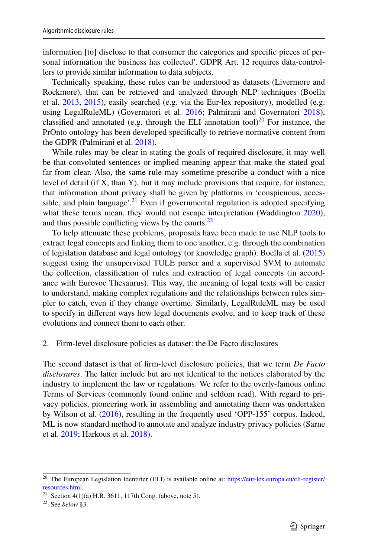information [to] disclose to that consumer the categories and specifc pieces of personal information the business has collected'. GDPR Art. 12 requires data-controllers to provide similar information to data subjects.

Technically speaking, these rules can be understood as datasets (Livermore and Rockmore), that can be retrieved and analyzed through NLP techniques (Boella et al. [2013,](#page-35-12) [2015\)](#page-35-13), easily searched (e.g. via the Eur-lex repository), modelled (e.g. using LegalRuleML) (Governatori et al. [2016;](#page-36-13) Palmirani and Governatori [2018\)](#page-37-6), classified and annotated (e.g. through the ELI annotation tool) $^{20}$  For instance, the PrOnto ontology has been developed specifcally to retrieve normative content from the GDPR (Palmirani et al. [2018](#page-37-7)).

While rules may be clear in stating the goals of required disclosure, it may well be that convoluted sentences or implied meaning appear that make the stated goal far from clear. Also, the same rule may sometime prescribe a conduct with a nice level of detail (if X, than Y), but it may include provisions that require, for instance, that information about privacy shall be given by platforms in 'conspicuous, acces-sible, and plain language'.<sup>[21](#page-8-1)</sup> Even if governmental regulation is adopted specifying what these terms mean, they would not escape interpretation (Waddington [2020\)](#page-37-8), and thus possible conflicting views by the courts.<sup>22</sup>

To help attenuate these problems, proposals have been made to use NLP tools to extract legal concepts and linking them to one another, e.g. through the combination of legislation database and legal ontology (or knowledge graph). Boella et al. [\(2015](#page-35-13)) suggest using the unsupervised TULE parser and a supervised SVM to automate the collection, classifcation of rules and extraction of legal concepts (in accordance with Eurovoc Thesaurus). This way, the meaning of legal texts will be easier to understand, making complex regulations and the relationships between rules simpler to catch, even if they change overtime. Similarly, LegalRuleML may be used to specify in diferent ways how legal documents evolve, and to keep track of these evolutions and connect them to each other.

#### 2. Firm-level disclosure policies as dataset: the De Facto disclosures

The second dataset is that of frm-level disclosure policies, that we term *De Facto disclosures*. The latter include but are not identical to the notices elaborated by the industry to implement the law or regulations. We refer to the overly-famous online Terms of Services (commonly found online and seldom read). With regard to privacy policies, pioneering work in assembling and annotating them was undertaken by Wilson et al. ([2016\)](#page-37-9), resulting in the frequently used 'OPP-155' corpus. Indeed, ML is now standard method to annotate and analyze industry privacy policies (Sarne et al. [2019;](#page-37-10) Harkous et al. [2018](#page-36-5)).

<span id="page-8-0"></span><sup>20</sup> The European Legislation Identifer (ELI) is available online at: [https://eur-lex.europa.eu/eli-register/](https://eur-lex.europa.eu/eli-register/resources.html) [resources.html.](https://eur-lex.europa.eu/eli-register/resources.html)

<span id="page-8-1"></span><sup>&</sup>lt;sup>21</sup> Section 4(1)(a) H.R. 3611, 117th Cong. (above, note 5).

<span id="page-8-2"></span><sup>22</sup> See *below* §3.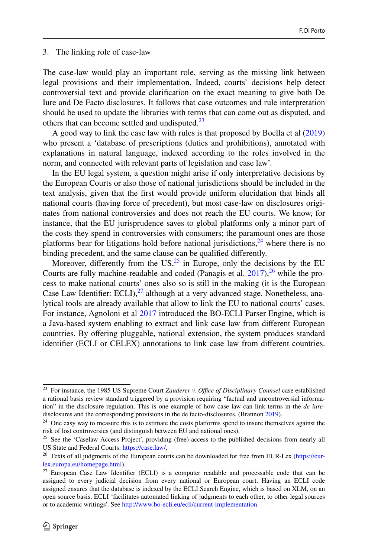#### 3. The linking role of case-law

The case-law would play an important role, serving as the missing link between legal provisions and their implementation. Indeed, courts' decisions help detect controversial text and provide clarifcation on the exact meaning to give both De Iure and De Facto disclosures. It follows that case outcomes and rule interpretation should be used to update the libraries with terms that can come out as disputed, and others that can become settled and undisputed.<sup>23</sup>

A good way to link the case law with rules is that proposed by Boella et al ([2019\)](#page-35-14) who present a 'database of prescriptions (duties and prohibitions), annotated with explanations in natural language, indexed according to the roles involved in the norm, and connected with relevant parts of legislation and case law'.

In the EU legal system, a question might arise if only interpretative decisions by the European Courts or also those of national jurisdictions should be included in the text analysis, given that the frst would provide uniform elucidation that binds all national courts (having force of precedent), but most case-law on disclosures originates from national controversies and does not reach the EU courts. We know, for instance, that the EU jurisprudence saves to global platforms only a minor part of the costs they spend in controversies with consumers; the paramount ones are those platforms bear for litigations hold before national jurisdictions,  $^{24}$  where there is no binding precedent, and the same clause can be qualifed diferently.

Moreover, differently from the  $US<sub>1</sub><sup>25</sup>$  in Europe, only the decisions by the EU Courts are fully machine-readable and coded (Panagis et al.  $2017$ ),  $^{26}$  $^{26}$  $^{26}$  while the process to make national courts' ones also so is still in the making (it is the European Case Law Identifier: ECLI), $^{27}$  $^{27}$  $^{27}$  although at a very advanced stage. Nonetheless, analytical tools are already available that allow to link the EU to national courts' cases. For instance, Agnoloni et al [2017](#page-34-0) introduced the BO-ECLI Parser Engine, which is a Java-based system enabling to extract and link case law from diferent European countries. By ofering pluggable, national extension, the system produces standard identifer (ECLI or CELEX) annotations to link case law from diferent countries.

<span id="page-9-0"></span><sup>&</sup>lt;sup>23</sup> For instance, the 1985 US Supreme Court *Zauderer v. Office of Disciplinary Counsel* case established a rational basis review standard triggered by a provision requiring "factual and uncontroversial information" in the disclosure regulation. This is one example of how case law can link terms in the *de iure*disclosures and the corresponding provisions in the de facto-disclosures. (Brannon [2019\)](#page-35-15).

<span id="page-9-1"></span><sup>&</sup>lt;sup>24</sup> One easy way to measure this is to estimate the costs platforms spend to insure themselves against the risk of lost controversies (and distinguish between EU and national ones).

<span id="page-9-2"></span><sup>&</sup>lt;sup>25</sup> See the 'Caselaw Access Project', providing (free) access to the published decisions from nearly all US State and Federal Courts: [https://case.law/.](https://case.law/)

<span id="page-9-3"></span><sup>&</sup>lt;sup>26</sup> Texts of all judgments of the European courts can be downloaded for free from EUR-Lex [\(https://eur](https://eur-lex.europa.eu/homepage.html)[lex.europa.eu/homepage.html\)](https://eur-lex.europa.eu/homepage.html).

<span id="page-9-4"></span> $27$  European Case Law Identifier (ECLI) is a computer readable and processable code that can be assigned to every judicial decision from every national or European court. Having an ECLI code assigned ensures that the database is indexed by the ECLI Search Engine, which is based on XLM, on an open source basis. ECLI 'facilitates automated linking of judgments to each other, to other legal sources or to academic writings'. See <http://www.bo-ecli.eu/ecli/current-implementation>.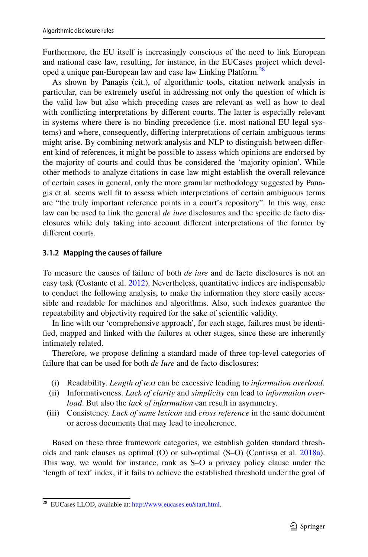Furthermore, the EU itself is increasingly conscious of the need to link European and national case law, resulting, for instance, in the EUCases project which devel-oped a unique pan-European law and case law Linking Platform.<sup>[28](#page-10-1)</sup>

As shown by Panagis (cit.), of algorithmic tools, citation network analysis in particular, can be extremely useful in addressing not only the question of which is the valid law but also which preceding cases are relevant as well as how to deal with conficting interpretations by diferent courts. The latter is especially relevant in systems where there is no binding precedence (i.e. most national EU legal systems) and where, consequently, difering interpretations of certain ambiguous terms might arise. By combining network analysis and NLP to distinguish between diferent kind of references, it might be possible to assess which opinions are endorsed by the majority of courts and could thus be considered the 'majority opinion'. While other methods to analyze citations in case law might establish the overall relevance of certain cases in general, only the more granular methodology suggested by Panagis et al. seems well ft to assess which interpretations of certain ambiguous terms are "the truly important reference points in a court's repository". In this way, case law can be used to link the general *de iure* disclosures and the specifc de facto disclosures while duly taking into account diferent interpretations of the former by diferent courts.

## <span id="page-10-0"></span>**3.1.2 Mapping the causes of failure**

To measure the causes of failure of both *de iure* and de facto disclosures is not an easy task (Costante et al. [2012](#page-35-16)). Nevertheless, quantitative indices are indispensable to conduct the following analysis, to make the information they store easily accessible and readable for machines and algorithms. Also, such indexes guarantee the repeatability and objectivity required for the sake of scientifc validity.

In line with our 'comprehensive approach', for each stage, failures must be identifed, mapped and linked with the failures at other stages, since these are inherently intimately related.

Therefore, we propose defning a standard made of three top-level categories of failure that can be used for both *de Iure* and de facto disclosures:

- (i) Readability. *Length of text* can be excessive leading to *information overload*.
- (ii) Informativeness. *Lack of clarity* and *simplicity* can lead to *information overload*. But also the *lack of information* can result in asymmetry.
- (iii) Consistency. *Lack of same lexicon* and *cross reference* in the same document or across documents that may lead to incoherence.

Based on these three framework categories, we establish golden standard thresholds and rank clauses as optimal (O) or sub-optimal (S–O) (Contissa et al. [2018a\)](#page-35-6). This way, we would for instance, rank as S–O a privacy policy clause under the 'length of text' index, if it fails to achieve the established threshold under the goal of

<span id="page-10-1"></span><sup>&</sup>lt;sup>28</sup> EUCases LLOD, available at: [http://www.eucases.eu/start.html.](http://www.eucases.eu/start.html)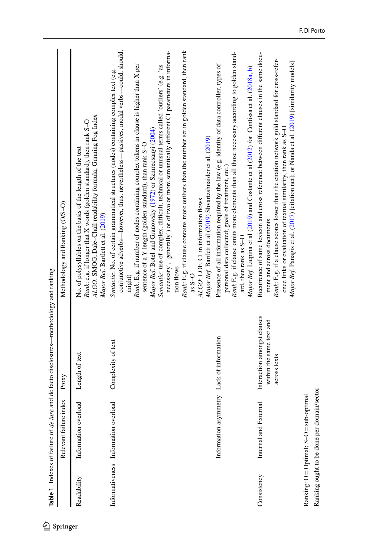<span id="page-11-0"></span>

|             | Relevant failure index                    | Proxy                                                                   | Methodology and Ranking (O/S-O)                                                                                                                                                                                                                                                                                                                                                                                                                                                                                                                                                                                                                                                                                                                                                                                                                 |
|-------------|-------------------------------------------|-------------------------------------------------------------------------|-------------------------------------------------------------------------------------------------------------------------------------------------------------------------------------------------------------------------------------------------------------------------------------------------------------------------------------------------------------------------------------------------------------------------------------------------------------------------------------------------------------------------------------------------------------------------------------------------------------------------------------------------------------------------------------------------------------------------------------------------------------------------------------------------------------------------------------------------|
| Readability | Information overload                      | Length of text                                                          | <i>Rank:</i> e.g. if longer that $X$ words (golden standard), then rank $S-O$ $ALGC$ : SMOG; Dale-Chall readability formula; Gunning Fog Index<br>No. of polysyllables on the basis of the length of the text<br>Major Ref. Bartlett et al. (2019)                                                                                                                                                                                                                                                                                                                                                                                                                                                                                                                                                                                              |
|             | Informativeness Information overload      | Complexity of text                                                      | conjunctive adverbs—however, thus, nevertheless—passives, modal verbs—could, should,<br>Rank: E.g. if clause contains more outliers than the number set in golden standard, then rank<br>necessary', 'generally') or of two or more semantically different CI parameters in informa-<br>Rank: E.g. if number of nodes containing complex tokens in clause is higher than X per<br>Semantic: use of complex, difficult, technical or unusual terms called 'outliers' (e.g. 'as<br>Syntactic: No. of certain grammatical structures (nodes) containing complex text (e.g.<br>Major Ref. Botel and Granowsky (1972) or Szmrecsanyi (2004)<br>Major Ref. Bartlett et al (2019) Shvartzshnaider et al. (2019)<br>sentence of a Y length (golden standard), than rank S-O<br>ALGO: LOF, CI in information flows<br>tion flows<br>$as S - O$<br>might) |
|             | Information asymmetry Lack of information |                                                                         | Rank E.g. if clause omits more elements than all those necessary according to golden stand-<br>Presence of all information required by the law (e.g. identity of data controller, types of<br>Major Ref. Liepina et al (2019) and Costante et al (2012) /or Contissa et al. (2018a, b)<br>personal data collected; goals of treatment, etc.)<br>ard, then rank as S-O                                                                                                                                                                                                                                                                                                                                                                                                                                                                           |
| Consistency | Internal and External                     | Interaction amongst clauses<br>within the same text and<br>across texts | Recurrence of same lexicon and cross reference between different clauses in the same docu-<br>Rank: E.g. if a clause scores lower than the citation network gold standard for cross-refer-<br>Major Ref. Panagis et al. (2017) [citation net]; or Nanda et al. (2019) [similarity models]<br>ence links or evaluation of textual similarity, then rank as S-O<br>ment and across documents                                                                                                                                                                                                                                                                                                                                                                                                                                                      |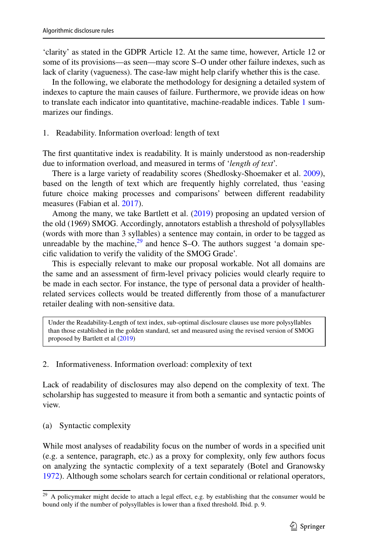'clarity' as stated in the GDPR Article 12. At the same time, however, Article 12 or some of its provisions—as seen—may score S–O under other failure indexes, such as lack of clarity (vagueness). The case-law might help clarify whether this is the case.

In the following, we elaborate the methodology for designing a detailed system of indexes to capture the main causes of failure. Furthermore, we provide ideas on how to translate each indicator into quantitative, machine-readable indices. Table [1](#page-11-0) summarizes our fndings.

### 1. Readability. Information overload: length of text

The frst quantitative index is readability. It is mainly understood as non-readership due to information overload, and measured in terms of '*length of text*'.

There is a large variety of readability scores (Shedlosky-Shoemaker et al. [2009\)](#page-37-15), based on the length of text which are frequently highly correlated, thus 'easing future choice making processes and comparisons' between diferent readability measures (Fabian et al. [2017\)](#page-36-15).

Among the many, we take Bartlett et al. [\(2019](#page-35-5)) proposing an updated version of the old (1969) SMOG. Accordingly, annotators establish a threshold of polysyllables (words with more than 3 syllables) a sentence may contain, in order to be tagged as unreadable by the machine,  $29$  and hence S–O. The authors suggest 'a domain specifc validation to verify the validity of the SMOG Grade'.

This is especially relevant to make our proposal workable. Not all domains are the same and an assessment of frm-level privacy policies would clearly require to be made in each sector. For instance, the type of personal data a provider of healthrelated services collects would be treated diferently from those of a manufacturer retailer dealing with non-sensitive data.

Under the Readability-Length of text index, sub-optimal disclosure clauses use more polysyllables than those established in the golden standard, set and measured using the revised version of SMOG proposed by Bartlett et al ([2019\)](#page-35-5)

### 2. Informativeness. Information overload: complexity of text

Lack of readability of disclosures may also depend on the complexity of text. The scholarship has suggested to measure it from both a semantic and syntactic points of view.

### (a) Syntactic complexity

While most analyses of readability focus on the number of words in a specifed unit (e.g. a sentence, paragraph, etc.) as a proxy for complexity, only few authors focus on analyzing the syntactic complexity of a text separately (Botel and Granowsky [1972](#page-35-17)). Although some scholars search for certain conditional or relational operators,

<span id="page-12-0"></span> $29$  A policymaker might decide to attach a legal effect, e.g. by establishing that the consumer would be bound only if the number of polysyllables is lower than a fxed threshold. Ibid. p. 9.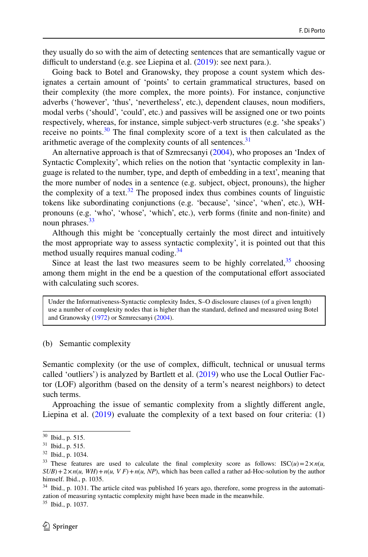they usually do so with the aim of detecting sentences that are semantically vague or difficult to understand (e.g. see Liepina et al.  $(2019)$  $(2019)$ : see next para.).

Going back to Botel and Granowsky, they propose a count system which designates a certain amount of 'points' to certain grammatical structures, based on their complexity (the more complex, the more points). For instance, conjunctive adverbs ('however', 'thus', 'nevertheless', etc.), dependent clauses, noun modifers, modal verbs ('should', 'could', etc.) and passives will be assigned one or two points respectively, whereas, for instance, simple subject-verb structures (e.g. 'she speaks') receive no points. $30$  The final complexity score of a text is then calculated as the arithmetic average of the complexity counts of all sentences.<sup>[31](#page-13-1)</sup>

An alternative approach is that of Szmrecsanyi [\(2004](#page-37-12)), who proposes an 'Index of Syntactic Complexity', which relies on the notion that 'syntactic complexity in language is related to the number, type, and depth of embedding in a text', meaning that the more number of nodes in a sentence (e.g. subject, object, pronouns), the higher the complexity of a text.<sup>[32](#page-13-2)</sup> The proposed index thus combines counts of linguistic tokens like subordinating conjunctions (e.g. 'because', 'since', 'when', etc.), WHpronouns (e.g. 'who', 'whose', 'which', etc.), verb forms (fnite and non-fnite) and noun phrases.<sup>[33](#page-13-3)</sup>

Although this might be 'conceptually certainly the most direct and intuitively the most appropriate way to assess syntactic complexity', it is pointed out that this method usually requires manual coding.<sup>[34](#page-13-4)</sup>

Since at least the last two measures seem to be highly correlated,  $35$  choosing among them might in the end be a question of the computational effort associated with calculating such scores.

Under the Informativeness-Syntactic complexity Index, S–O disclosure clauses (of a given length) use a number of complexity nodes that is higher than the standard, defned and measured using Botel and Granowsky [\(1972](#page-35-17)) or Szmrecsanyi ([2004\)](#page-37-12).

#### (b) Semantic complexity

Semantic complexity (or the use of complex, difficult, technical or unusual terms called 'outliers') is analyzed by Bartlett et al. ([2019\)](#page-35-5) who use the Local Outlier Factor (LOF) algorithm (based on the density of a term's nearest neighbors) to detect such terms.

Approaching the issue of semantic complexity from a slightly diferent angle, Liepina et al.  $(2019)$  $(2019)$  evaluate the complexity of a text based on four criteria:  $(1)$ 

<span id="page-13-0"></span><sup>30</sup> Ibid., p. 515.

<span id="page-13-1"></span><sup>31</sup> Ibid., p. 515.

<span id="page-13-2"></span><sup>32</sup> Ibid., p. 1034.

<span id="page-13-3"></span><sup>&</sup>lt;sup>33</sup> These features are used to calculate the final complexity score as follows:  $\text{ISC}(u) = 2 \times n(u,$  $SUB$ )+2×*n*(*u, WH*)+*n*(*u, VF*)+*n*(*u, NP*), which has been called a rather ad-Hoc-solution by the author himself. Ibid., p. 1035.

<span id="page-13-4"></span><sup>&</sup>lt;sup>34</sup> Ibid., p. 1031. The article cited was published 16 years ago, therefore, some progress in the automatization of measuring syntactic complexity might have been made in the meanwhile.

<span id="page-13-5"></span><sup>35</sup> Ibid., p. 1037.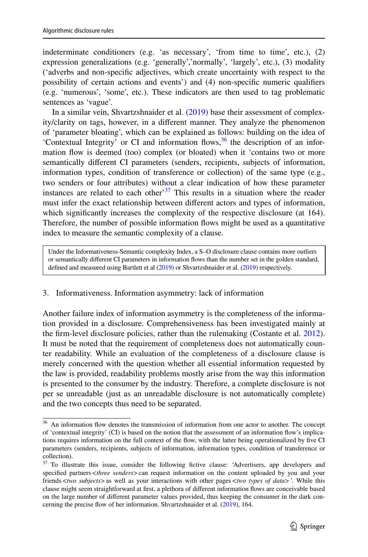indeterminate conditioners (e.g. 'as necessary', 'from time to time', etc.), (2) expression generalizations (e.g. 'generally','normally', 'largely', etc.), (3) modality ('adverbs and non-specifc adjectives, which create uncertainty with respect to the possibility of certain actions and events') and (4) non-specifc numeric qualifers (e.g. 'numerous', 'some', etc.). These indicators are then used to tag problematic sentences as 'vague'.

In a similar vein, Shvartzshnaider et al. [\(2019](#page-37-13)) base their assessment of complexity/clarity on tags, however, in a diferent manner. They analyze the phenomenon of 'parameter bloating', which can be explained as follows: building on the idea of 'Contextual Integrity' or CI and information flows,  $36$  the description of an information fow is deemed (too) complex (or bloated) when it 'contains two or more semantically diferent CI parameters (senders, recipients, subjects of information, information types, condition of transference or collection) of the same type (e.g., two senders or four attributes) without a clear indication of how these parameter instances are related to each other<sup>37</sup> This results in a situation where the reader must infer the exact relationship between diferent actors and types of information, which significantly increases the complexity of the respective disclosure (at 164). Therefore, the number of possible information fows might be used as a quantitative index to measure the semantic complexity of a clause.

Under the Informativeness-Semantic complexity Index, a S–O disclosure clause contains more outliers or semantically diferent CI parameters in information fows than the number set in the golden standard, defned and measured using Bartlett et al ([2019](#page-35-5)) or Shvartzshnaider et al. [\(2019\)](#page-37-13) respectively.

### 3. Informativeness. Information asymmetry: lack of information

Another failure index of information asymmetry is the completeness of the information provided in a disclosure. Comprehensiveness has been investigated mainly at the frm-level disclosure policies, rather than the rulemaking (Costante et al. [2012\)](#page-35-16). It must be noted that the requirement of completeness does not automatically counter readability. While an evaluation of the completeness of a disclosure clause is merely concerned with the question whether all essential information requested by the law is provided, readability problems mostly arise from the way this information is presented to the consumer by the industry. Therefore, a complete disclosure is not per se unreadable (just as an unreadable disclosure is not automatically complete) and the two concepts thus need to be separated.

<span id="page-14-0"></span><sup>&</sup>lt;sup>36</sup> An information flow denotes the transmission of information from one actor to another. The concept of 'contextual integrity' (CI) is based on the notion that the assessment of an information fow's implications requires information on the full context of the fow, with the latter being operationalized by fve CI parameters (senders, recipients, subjects of information, information types, condition of transference or collection).

<span id="page-14-1"></span><sup>&</sup>lt;sup>37</sup> To illustrate this issue, consider the following fictive clause: 'Advertisers, app developers and specified partners <*three senders*> can request information on the content uploaded by you and your friends<*two subjects*>as well as your interactions with other pages<*two types of data*>'. While this clause might seem straightforward at frst, a plethora of diferent information fows are conceivable based on the large number of diferent parameter values provided, thus keeping the consumer in the dark concerning the precise fow of her information. Shvartzshnaider et al. ([2019\)](#page-37-13), 164.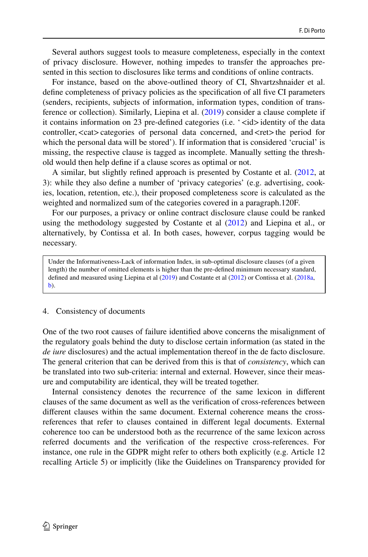Several authors suggest tools to measure completeness, especially in the context of privacy disclosure. However, nothing impedes to transfer the approaches presented in this section to disclosures like terms and conditions of online contracts.

For instance, based on the above-outlined theory of CI, Shvartzshnaider et al. defne completeness of privacy policies as the specifcation of all fve CI parameters (senders, recipients, subjects of information, information types, condition of transference or collection). Similarly, Liepina et al. [\(2019](#page-36-14)) consider a clause complete if it contains information on 23 pre-defined categories (i.e. ' $\lt$ id>identity of the data controller,  $\langle \text{cat} \rangle$  categories of personal data concerned, and  $\langle \text{ret} \rangle$  the period for which the personal data will be stored'). If information that is considered 'crucial' is missing, the respective clause is tagged as incomplete. Manually setting the threshold would then help defne if a clause scores as optimal or not.

A similar, but slightly refned approach is presented by Costante et al. [\(2012](#page-35-16), at 3): while they also defne a number of 'privacy categories' (e.g. advertising, cookies, location, retention, etc.), their proposed completeness score is calculated as the weighted and normalized sum of the categories covered in a paragraph.120F.

For our purposes, a privacy or online contract disclosure clause could be ranked using the methodology suggested by Costante et al [\(2012](#page-35-16)) and Liepina et al., or alternatively, by Contissa et al. In both cases, however, corpus tagging would be necessary.

Under the Informativeness-Lack of information Index, in sub-optimal disclosure clauses (of a given length) the number of omitted elements is higher than the pre-defned minimum necessary standard, defned and measured using Liepina et al [\(2019](#page-36-14)) and Costante et al ([2012\)](#page-35-16) or Contissa et al. ([2018a](#page-35-6), [b\)](#page-35-7).

#### 4. Consistency of documents

One of the two root causes of failure identifed above concerns the misalignment of the regulatory goals behind the duty to disclose certain information (as stated in the *de iure* disclosures) and the actual implementation thereof in the de facto disclosure. The general criterion that can be derived from this is that of *consistency*, which can be translated into two sub-criteria: internal and external. However, since their measure and computability are identical, they will be treated together.

Internal consistency denotes the recurrence of the same lexicon in diferent clauses of the same document as well as the verifcation of cross-references between diferent clauses within the same document. External coherence means the crossreferences that refer to clauses contained in diferent legal documents. External coherence too can be understood both as the recurrence of the same lexicon across referred documents and the verifcation of the respective cross-references. For instance, one rule in the GDPR might refer to others both explicitly (e.g. Article 12 recalling Article 5) or implicitly (like the Guidelines on Transparency provided for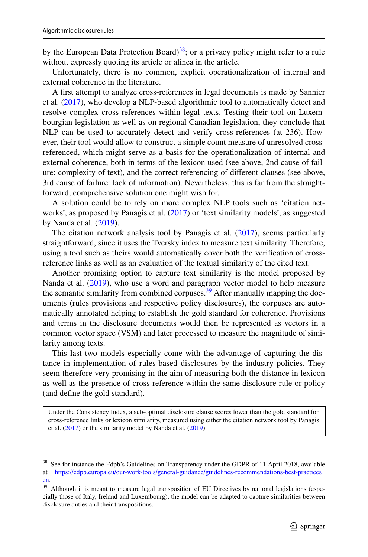by the European Data Protection Board)<sup>[38](#page-16-0)</sup>; or a privacy policy might refer to a rule without expressly quoting its article or alinea in the article.

Unfortunately, there is no common, explicit operationalization of internal and external coherence in the literature.

A frst attempt to analyze cross-references in legal documents is made by Sannier et al. [\(2017](#page-37-16)), who develop a NLP-based algorithmic tool to automatically detect and resolve complex cross-references within legal texts. Testing their tool on Luxembourgian legislation as well as on regional Canadian legislation, they conclude that NLP can be used to accurately detect and verify cross-references (at 236). However, their tool would allow to construct a simple count measure of unresolved crossreferenced, which might serve as a basis for the operationalization of internal and external coherence, both in terms of the lexicon used (see above, 2nd cause of failure: complexity of text), and the correct referencing of diferent clauses (see above, 3rd cause of failure: lack of information). Nevertheless, this is far from the straightforward, comprehensive solution one might wish for.

A solution could be to rely on more complex NLP tools such as 'citation networks', as proposed by Panagis et al. ([2017\)](#page-37-11) or 'text similarity models', as suggested by Nanda et al. ([2019\)](#page-37-14).

The citation network analysis tool by Panagis et al. [\(2017](#page-37-11)), seems particularly straightforward, since it uses the Tversky index to measure text similarity. Therefore, using a tool such as theirs would automatically cover both the verifcation of crossreference links as well as an evaluation of the textual similarity of the cited text.

Another promising option to capture text similarity is the model proposed by Nanda et al. [\(2019](#page-37-14)), who use a word and paragraph vector model to help measure the semantic similarity from combined corpuses.<sup>[39](#page-16-1)</sup> After manually mapping the documents (rules provisions and respective policy disclosures), the corpuses are automatically annotated helping to establish the gold standard for coherence. Provisions and terms in the disclosure documents would then be represented as vectors in a common vector space (VSM) and later processed to measure the magnitude of similarity among texts.

This last two models especially come with the advantage of capturing the distance in implementation of rules-based disclosures by the industry policies. They seem therefore very promising in the aim of measuring both the distance in lexicon as well as the presence of cross-reference within the same disclosure rule or policy (and defne the gold standard).

Under the Consistency Index, a sub-optimal disclosure clause scores lower than the gold standard for cross-reference links or lexicon similarity, measured using either the citation network tool by Panagis et al. ([2017\)](#page-37-11) or the similarity model by Nanda et al. [\(2019](#page-37-14)).

<span id="page-16-0"></span><sup>&</sup>lt;sup>38</sup> See for instance the Edpb's Guidelines on Transparency under the GDPR of 11 April 2018, available at [https://edpb.europa.eu/our-work-tools/general-guidance/guidelines-recommendations-best-practices\\_](https://edpb.europa.eu/our-work-tools/general-guidance/guidelines-recommendations-best-practices_en) [en.](https://edpb.europa.eu/our-work-tools/general-guidance/guidelines-recommendations-best-practices_en)

<span id="page-16-1"></span><sup>&</sup>lt;sup>39</sup> Although it is meant to measure legal transposition of EU Directives by national legislations (especially those of Italy, Ireland and Luxembourg), the model can be adapted to capture similarities between disclosure duties and their transpositions.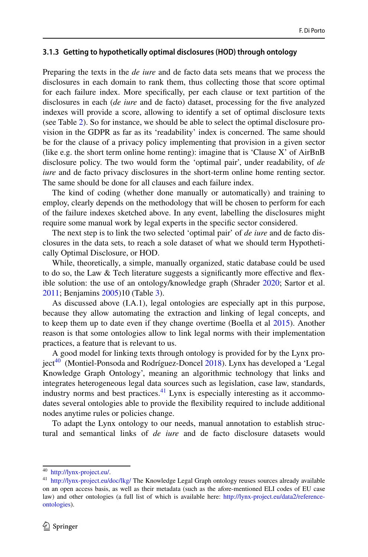### **3.1.3 Getting to hypothetically optimal disclosures (HOD) through ontology**

Preparing the texts in the *de iure* and de facto data sets means that we process the disclosures in each domain to rank them, thus collecting those that score optimal for each failure index. More specifcally, per each clause or text partition of the disclosures in each (*de iure* and de facto) dataset, processing for the fve analyzed indexes will provide a score, allowing to identify a set of optimal disclosure texts (see Table [2](#page-18-0)). So for instance, we should be able to select the optimal disclosure provision in the GDPR as far as its 'readability' index is concerned. The same should be for the clause of a privacy policy implementing that provision in a given sector (like e.g. the short term online home renting): imagine that is 'Clause X' of AirBnB disclosure policy. The two would form the 'optimal pair', under readability, of *de iure* and de facto privacy disclosures in the short-term online home renting sector. The same should be done for all clauses and each failure index.

The kind of coding (whether done manually or automatically) and training to employ, clearly depends on the methodology that will be chosen to perform for each of the failure indexes sketched above. In any event, labelling the disclosures might require some manual work by legal experts in the specifc sector considered.

The next step is to link the two selected 'optimal pair' of *de iure* and de facto disclosures in the data sets, to reach a sole dataset of what we should term Hypothetically Optimal Disclosure, or HOD.

While, theoretically, a simple, manually organized, static database could be used to do so, the Law & Tech literature suggests a signifcantly more efective and fexible solution: the use of an ontology/knowledge graph (Shrader [2020;](#page-37-17) Sartor et al. [2011](#page-37-18); Benjamins [2005\)](#page-35-18)10 (Table [3\)](#page-19-0).

As discussed above (I.A.1), legal ontologies are especially apt in this purpose, because they allow automating the extraction and linking of legal concepts, and to keep them up to date even if they change overtime (Boella et al [2015](#page-35-13)). Another reason is that some ontologies allow to link legal norms with their implementation practices, a feature that is relevant to us.

A good model for linking texts through ontology is provided for by the Lynx pro $ject^{40}$  (Montiel-Ponsoda and Rodríguez-Doncel [2018\)](#page-36-16). Lynx has developed a 'Legal Knowledge Graph Ontology', meaning an algorithmic technology that links and integrates heterogeneous legal data sources such as legislation, case law, standards, industry norms and best practices. $41$  Lynx is especially interesting as it accommodates several ontologies able to provide the fexibility required to include additional nodes anytime rules or policies change.

To adapt the Lynx ontology to our needs, manual annotation to establish structural and semantical links of *de iure* and de facto disclosure datasets would

<span id="page-17-0"></span><sup>40</sup> <http://lynx-project.eu/>.

<span id="page-17-1"></span><sup>&</sup>lt;sup>41</sup> <http://lynx-project.eu/doc/lkg/>The Knowledge Legal Graph ontology reuses sources already available on an open access basis, as well as their metadata (such as the afore-mentioned ELI codes of EU case law) and other ontologies (a full list of which is available here: [http://lynx-project.eu/data2/reference](http://lynx-project.eu/data2/reference-ontologies)[ontologies](http://lynx-project.eu/data2/reference-ontologies)).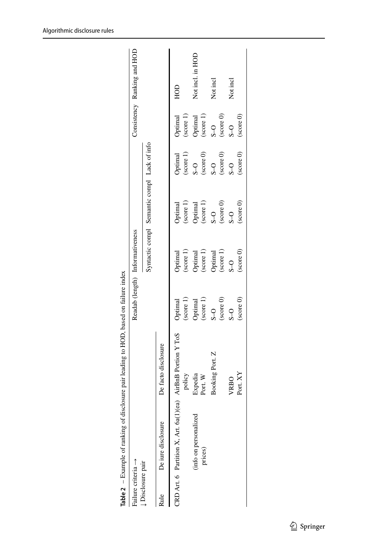| CRD Art. 6 Partition X, Art. $6a(1)(ea)$ AirBnB Portion Y ToS<br>De facto disclosure<br>policy<br>Expedia<br>Port. W<br>(info on personalized<br>De iure disclosure<br>Failure criteria $\rightarrow$<br><b>Disclosure pair</b><br>Rule |                                                                                                                                                             |                                                                                                                                                                                          |                                                                                                                                                                                      |                                                                                                                     |                                                                   |                             |
|-----------------------------------------------------------------------------------------------------------------------------------------------------------------------------------------------------------------------------------------|-------------------------------------------------------------------------------------------------------------------------------------------------------------|------------------------------------------------------------------------------------------------------------------------------------------------------------------------------------------|--------------------------------------------------------------------------------------------------------------------------------------------------------------------------------------|---------------------------------------------------------------------------------------------------------------------|-------------------------------------------------------------------|-----------------------------|
|                                                                                                                                                                                                                                         |                                                                                                                                                             | Readab (length) Informativeness                                                                                                                                                          |                                                                                                                                                                                      |                                                                                                                     |                                                                   | Consistency Ranking and HOD |
|                                                                                                                                                                                                                                         |                                                                                                                                                             |                                                                                                                                                                                          | Syntactic compl Semantic compl Lack of info                                                                                                                                          |                                                                                                                     |                                                                   |                             |
|                                                                                                                                                                                                                                         |                                                                                                                                                             |                                                                                                                                                                                          |                                                                                                                                                                                      |                                                                                                                     |                                                                   |                             |
|                                                                                                                                                                                                                                         | Optimal                                                                                                                                                     |                                                                                                                                                                                          |                                                                                                                                                                                      | $\begin{array}{c} \text{Optimal} \\ \text{(score 1)} \end{array}$                                                   | Optimal                                                           | HOD                         |
|                                                                                                                                                                                                                                         |                                                                                                                                                             |                                                                                                                                                                                          |                                                                                                                                                                                      |                                                                                                                     | (score 1)                                                         |                             |
|                                                                                                                                                                                                                                         | $\begin{array}{l} \text{(score 1)}\\ \text{Optimal}\\ \text{(score 1)}\\ \text{S-O}\\ \text{(score 0)}\\ \text{(score 0)}\\ \text{(score 0)}\\ \end{array}$ | $\begin{array}{l} \text{Optimal} \\ \text{(score 1)} \\ \text{Optimal} \\ \text{(score 1)} \\ \text{(score 1)} \\ \text{Optimal} \\ \text{(score 1)} \\ \text{(score 1)} \\ \end{array}$ | $\begin{array}{l} \text{Optimal} \\ \text{(score 1)} \\ \text{Optimal} \\ \text{(score 1)} \\ \text{(score 1)} \\ \text{S-O} \\ \text{(score 0)} \\ \text{(score 0)} \\ \end{array}$ |                                                                                                                     | $\begin{array}{c} \text{Optimal} \\ \text{(score 1)} \end{array}$ | Not incl. in HOD            |
| prices)                                                                                                                                                                                                                                 |                                                                                                                                                             |                                                                                                                                                                                          |                                                                                                                                                                                      |                                                                                                                     |                                                                   |                             |
| Booking Port. Z                                                                                                                                                                                                                         |                                                                                                                                                             |                                                                                                                                                                                          |                                                                                                                                                                                      |                                                                                                                     | $S_{-}$                                                           | Not incl                    |
|                                                                                                                                                                                                                                         |                                                                                                                                                             |                                                                                                                                                                                          |                                                                                                                                                                                      | $\begin{array}{l} \text{S-O} \\ \text{(score 0)} \\ \text{S-O} \\ \text{(score 0)} \\ \text{(score 0)} \end{array}$ | $\left( \text{score } 0 \right)$                                  |                             |
| VRBO                                                                                                                                                                                                                                    | $S_{-}$                                                                                                                                                     | $\overline{S}$                                                                                                                                                                           | $\overline{c}$                                                                                                                                                                       | $S_{-}$                                                                                                             | $\overline{S}$                                                    | Not incl                    |
| Port. XY                                                                                                                                                                                                                                | (score 0)                                                                                                                                                   | $(\text{score} 0)$                                                                                                                                                                       | $(\text{score} 0)$                                                                                                                                                                   | (score 0)                                                                                                           | $\left( \text{score } 0 \right)$                                  |                             |

<span id="page-18-0"></span>**Table 2** – Example of ranking of disclosure pair leading to HOD, based on failure index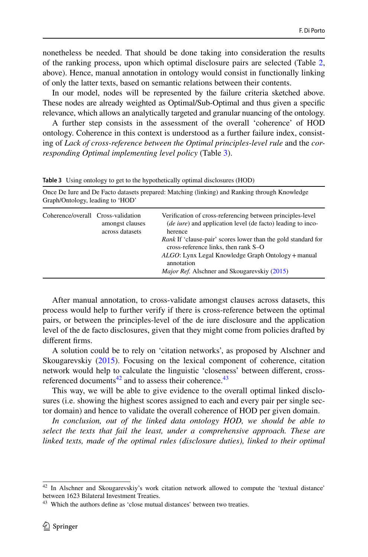nonetheless be needed. That should be done taking into consideration the results of the ranking process, upon which optimal disclosure pairs are selected (Table [2,](#page-18-0) above). Hence, manual annotation in ontology would consist in functionally linking of only the latter texts, based on semantic relations between their contents.

In our model, nodes will be represented by the failure criteria sketched above. These nodes are already weighted as Optimal/Sub-Optimal and thus given a specifc relevance, which allows an analytically targeted and granular nuancing of the ontology.

A further step consists in the assessment of the overall 'coherence' of HOD ontology. Coherence in this context is understood as a further failure index, consisting of *Lack of cross-reference between the Optimal principles*-*level rule* and the *corresponding Optimal implementing level policy* (Table [3\)](#page-19-0).

| Once De lure and De Facto datasets prepared: Matching (linking) and Ranking through Knowledge<br>Graph/Ontology, leading to 'HOD' |                                    |                                                                                                                                                                                                                                                                                                                                                                                               |  |  |
|-----------------------------------------------------------------------------------------------------------------------------------|------------------------------------|-----------------------------------------------------------------------------------------------------------------------------------------------------------------------------------------------------------------------------------------------------------------------------------------------------------------------------------------------------------------------------------------------|--|--|
| Coherence/overall Cross-validation                                                                                                | amongst clauses<br>across datasets | Verification of cross-referencing between principles-level<br><i>(de iure)</i> and application level <i>(de facto)</i> leading to inco-<br>herence<br><i>Rank</i> If 'clause-pair' scores lower than the gold standard for<br>cross-reference links, then rank S-O<br>ALGO: Lynx Legal Knowledge Graph Ontology + manual<br>annotation<br><i>Major Ref.</i> Alschner and Skougarevskiy (2015) |  |  |

<span id="page-19-0"></span>**Table 3** Using ontology to get to the hypothetically optimal disclosures (HOD)

After manual annotation, to cross-validate amongst clauses across datasets, this process would help to further verify if there is cross-reference between the optimal pairs, or between the principles-level of the de iure disclosure and the application level of the de facto disclosures, given that they might come from policies drafted by diferent frms.

A solution could be to rely on 'citation networks', as proposed by Alschner and Skougarevskiy [\(2015](#page-35-19)). Focusing on the lexical component of coherence, citation network would help to calculate the linguistic 'closeness' between diferent, crossreferenced documents $42$  and to assess their coherence.<sup>43</sup>

This way, we will be able to give evidence to the overall optimal linked disclosures (i.e. showing the highest scores assigned to each and every pair per single sector domain) and hence to validate the overall coherence of HOD per given domain.

*In conclusion, out of the linked data ontology HOD, we should be able to select the texts that fail the least, under a comprehensive approach. These are linked texts, made of the optimal rules (disclosure duties), linked to their optimal* 

<span id="page-19-1"></span><sup>42</sup> In Alschner and Skougarevskiy's work citation network allowed to compute the 'textual distance' between 1623 Bilateral Investment Treaties.

<span id="page-19-2"></span><sup>&</sup>lt;sup>43</sup> Which the authors define as 'close mutual distances' between two treaties.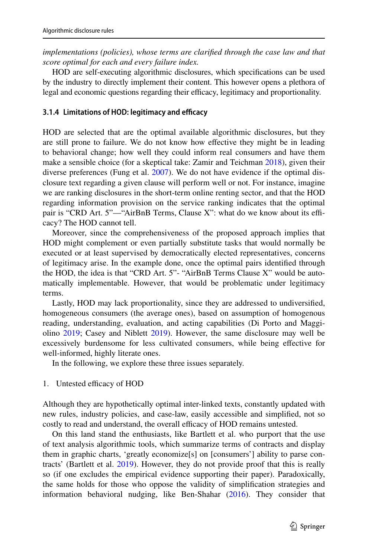*implementations (policies), whose terms are clarified through the case law and that score optimal for each and every failure index.*

HOD are self-executing algorithmic disclosures, which specifcations can be used by the industry to directly implement their content. This however opens a plethora of legal and economic questions regarding their efficacy, legitimacy and proportionality.

## <span id="page-20-0"></span>**3.1.4 Limitations of HOD: legitimacy and efficacy**

HOD are selected that are the optimal available algorithmic disclosures, but they are still prone to failure. We do not know how efective they might be in leading to behavioral change; how well they could inform real consumers and have them make a sensible choice (for a skeptical take: Zamir and Teichman [2018\)](#page-37-19), given their diverse preferences (Fung et al. [2007](#page-36-17)). We do not have evidence if the optimal disclosure text regarding a given clause will perform well or not. For instance, imagine we are ranking disclosures in the short-term online renting sector, and that the HOD regarding information provision on the service ranking indicates that the optimal pair is "CRD Art. 5"—"AirBnB Terms, Clause X": what do we know about its efficacy? The HOD cannot tell.

Moreover, since the comprehensiveness of the proposed approach implies that HOD might complement or even partially substitute tasks that would normally be executed or at least supervised by democratically elected representatives, concerns of legitimacy arise. In the example done, once the optimal pairs identifed through the HOD, the idea is that "CRD Art. 5"- "AirBnB Terms Clause X" would be automatically implementable. However, that would be problematic under legitimacy terms.

Lastly, HOD may lack proportionality, since they are addressed to undiversifed, homogeneous consumers (the average ones), based on assumption of homogenous reading, understanding, evaluation, and acting capabilities (Di Porto and Maggiolino [2019](#page-36-18); Casey and Niblett [2019](#page-35-20)). However, the same disclosure may well be excessively burdensome for less cultivated consumers, while being efective for well-informed, highly literate ones.

In the following, we explore these three issues separately.

## 1. Untested efficacy of HOD

Although they are hypothetically optimal inter-linked texts, constantly updated with new rules, industry policies, and case-law, easily accessible and simplifed, not so costly to read and understand, the overall efficacy of HOD remains untested.

On this land stand the enthusiasts, like Bartlett et al. who purport that the use of text analysis algorithmic tools, which summarize terms of contracts and display them in graphic charts, 'greatly economize[s] on [consumers'] ability to parse contracts' (Bartlett et al. [2019\)](#page-35-5). However, they do not provide proof that this is really so (if one excludes the empirical evidence supporting their paper). Paradoxically, the same holds for those who oppose the validity of simplifcation strategies and information behavioral nudging, like Ben-Shahar ([2016\)](#page-35-21). They consider that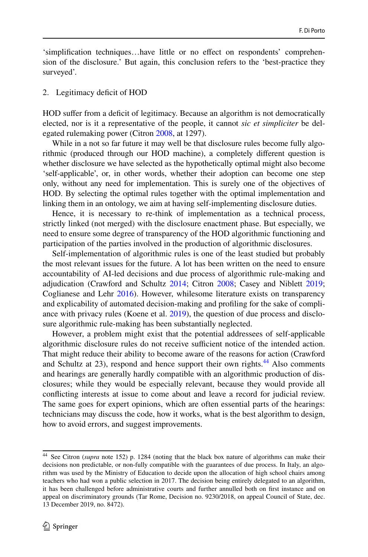'simplifcation techniques…have little or no efect on respondents' comprehension of the disclosure.' But again, this conclusion refers to the 'best-practice they surveyed'.

#### 2. Legitimacy deficit of HOD

HOD sufer from a defcit of legitimacy. Because an algorithm is not democratically elected, nor is it a representative of the people, it cannot *sic et simpliciter* be delegated rulemaking power (Citron [2008](#page-35-22), at 1297).

While in a not so far future it may well be that disclosure rules become fully algorithmic (produced through our HOD machine), a completely diferent question is whether disclosure we have selected as the hypothetically optimal might also become 'self-applicable', or, in other words, whether their adoption can become one step only, without any need for implementation. This is surely one of the objectives of HOD. By selecting the optimal rules together with the optimal implementation and linking them in an ontology, we aim at having self-implementing disclosure duties.

Hence, it is necessary to re-think of implementation as a technical process, strictly linked (not merged) with the disclosure enactment phase. But especially, we need to ensure some degree of transparency of the HOD algorithmic functioning and participation of the parties involved in the production of algorithmic disclosures.

Self-implementation of algorithmic rules is one of the least studied but probably the most relevant issues for the future. A lot has been written on the need to ensure accountability of AI-led decisions and due process of algorithmic rule-making and adjudication (Crawford and Schultz [2014;](#page-35-23) Citron [2008](#page-35-22); Casey and Niblett [2019;](#page-35-20) Coglianese and Lehr [2016\)](#page-35-24). However, whilesome literature exists on transparency and explicability of automated decision-making and profling for the sake of compliance with privacy rules (Koene et al. [2019\)](#page-36-19), the question of due process and disclosure algorithmic rule-making has been substantially neglected.

However, a problem might exist that the potential addressees of self-applicable algorithmic disclosure rules do not receive sufficient notice of the intended action. That might reduce their ability to become aware of the reasons for action (Crawford and Schultz at 23), respond and hence support their own rights.<sup>44</sup> Also comments and hearings are generally hardly compatible with an algorithmic production of disclosures; while they would be especially relevant, because they would provide all conficting interests at issue to come about and leave a record for judicial review. The same goes for expert opinions, which are often essential parts of the hearings: technicians may discuss the code, how it works, what is the best algorithm to design, how to avoid errors, and suggest improvements.

<span id="page-21-0"></span><sup>44</sup> See Citron (*supra* note 152) p. 1284 (noting that the black box nature of algorithms can make their decisions non predictable, or non-fully compatible with the guarantees of due process. In Italy, an algorithm was used by the Ministry of Education to decide upon the allocation of high school chairs among teachers who had won a public selection in 2017. The decision being entirely delegated to an algorithm, it has been challenged before administrative courts and further annulled both on frst instance and on appeal on discriminatory grounds (Tar Rome, Decision no. 9230/2018, on appeal Council of State, dec. 13 December 2019, no. 8472).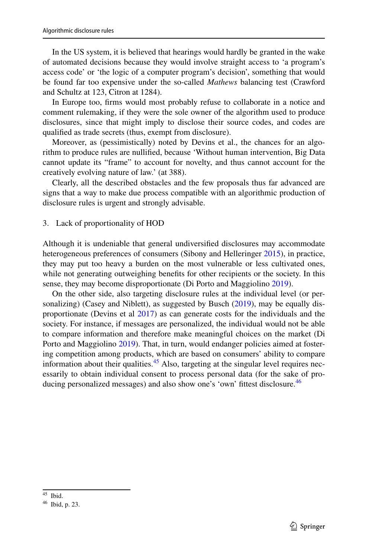In the US system, it is believed that hearings would hardly be granted in the wake of automated decisions because they would involve straight access to 'a program's access code' or 'the logic of a computer program's decision', something that would be found far too expensive under the so-called *Mathews* balancing test (Crawford and Schultz at 123, Citron at 1284).

In Europe too, frms would most probably refuse to collaborate in a notice and comment rulemaking, if they were the sole owner of the algorithm used to produce disclosures, since that might imply to disclose their source codes, and codes are qualifed as trade secrets (thus, exempt from disclosure).

Moreover, as (pessimistically) noted by Devins et al., the chances for an algorithm to produce rules are nullifed, because 'Without human intervention, Big Data cannot update its "frame" to account for novelty, and thus cannot account for the creatively evolving nature of law.' (at 388).

Clearly, all the described obstacles and the few proposals thus far advanced are signs that a way to make due process compatible with an algorithmic production of disclosure rules is urgent and strongly advisable.

3. Lack of proportionality of HOD

Although it is undeniable that general undiversifed disclosures may accommodate heterogeneous preferences of consumers (Sibony and Helleringer [2015](#page-37-20)), in practice, they may put too heavy a burden on the most vulnerable or less cultivated ones, while not generating outweighing benefts for other recipients or the society. In this sense, they may become disproportionate (Di Porto and Maggiolino [2019\)](#page-36-18).

On the other side, also targeting disclosure rules at the individual level (or per-sonalizing) (Casey and Niblett), as suggested by Busch [\(2019](#page-35-25)), may be equally disproportionate (Devins et al [2017](#page-36-20)) as can generate costs for the individuals and the society. For instance, if messages are personalized, the individual would not be able to compare information and therefore make meaningful choices on the market (Di Porto and Maggiolino [2019\)](#page-36-18). That, in turn, would endanger policies aimed at fostering competition among products, which are based on consumers' ability to compare information about their qualities.<sup>45</sup> Also, targeting at the singular level requires necessarily to obtain individual consent to process personal data (for the sake of pro-ducing personalized messages) and also show one's 'own' fittest disclosure.<sup>[46](#page-22-1)</sup>

<span id="page-22-0"></span><sup>45</sup> Ibid.

<span id="page-22-1"></span><sup>46</sup> Ibid, p. 23.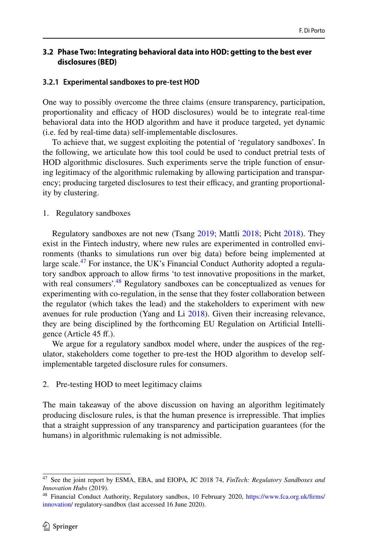### **3.2 Phase Two: Integrating behavioral data into HOD: getting to the best ever disclosures (BED)**

#### <span id="page-23-0"></span>**3.2.1 Experimental sandboxes to pre‑test HOD**

One way to possibly overcome the three claims (ensure transparency, participation, proportionality and efficacy of HOD disclosures) would be to integrate real-time behavioral data into the HOD algorithm and have it produce targeted, yet dynamic (i.e. fed by real-time data) self-implementable disclosures.

To achieve that, we suggest exploiting the potential of 'regulatory sandboxes'. In the following, we articulate how this tool could be used to conduct pretrial tests of HOD algorithmic disclosures. Such experiments serve the triple function of ensuring legitimacy of the algorithmic rulemaking by allowing participation and transparency; producing targeted disclosures to test their efficacy, and granting proportionality by clustering.

#### 1. Regulatory sandboxes

Regulatory sandboxes are not new (Tsang [2019;](#page-37-21) Mattli [2018](#page-36-21); Picht [2018](#page-37-22)). They exist in the Fintech industry, where new rules are experimented in controlled environments (thanks to simulations run over big data) before being implemented at large scale.<sup>47</sup> For instance, the UK's Financial Conduct Authority adopted a regulatory sandbox approach to allow frms 'to test innovative propositions in the market, with real consumers'.<sup>48</sup> Regulatory sandboxes can be conceptualized as venues for experimenting with co-regulation, in the sense that they foster collaboration between the regulator (which takes the lead) and the stakeholders to experiment with new avenues for rule production (Yang and Li [2018\)](#page-37-23). Given their increasing relevance, they are being disciplined by the forthcoming EU Regulation on Artifcial Intelligence (Article 45 f.).

We argue for a regulatory sandbox model where, under the auspices of the regulator, stakeholders come together to pre-test the HOD algorithm to develop selfimplementable targeted disclosure rules for consumers.

#### 2. Pre-testing HOD to meet legitimacy claims

The main takeaway of the above discussion on having an algorithm legitimately producing disclosure rules, is that the human presence is irrepressible. That implies that a straight suppression of any transparency and participation guarantees (for the humans) in algorithmic rulemaking is not admissible.

<span id="page-23-1"></span><sup>47</sup> See the joint report by ESMA, EBA, and EIOPA, JC 2018 74, *FinTech: Regulatory Sandboxes and Innovation Hubs* (2019).

<span id="page-23-2"></span><sup>48</sup> Financial Conduct Authority, Regulatory sandbox, 10 February 2020, [https://www.fca.org.uk/frms/](https://www.fca.org.uk/firms/innovation/) [innovation/](https://www.fca.org.uk/firms/innovation/) regulatory-sandbox (last accessed 16 June 2020).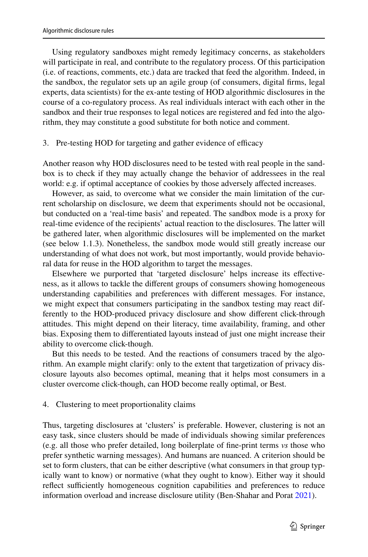Using regulatory sandboxes might remedy legitimacy concerns, as stakeholders will participate in real, and contribute to the regulatory process. Of this participation (i.e. of reactions, comments, etc.) data are tracked that feed the algorithm. Indeed, in the sandbox, the regulator sets up an agile group (of consumers, digital frms, legal experts, data scientists) for the ex-ante testing of HOD algorithmic disclosures in the course of a co-regulatory process. As real individuals interact with each other in the sandbox and their true responses to legal notices are registered and fed into the algorithm, they may constitute a good substitute for both notice and comment.

### 3. Pre-testing HOD for targeting and gather evidence of efficacy

Another reason why HOD disclosures need to be tested with real people in the sandbox is to check if they may actually change the behavior of addressees in the real world: e.g. if optimal acceptance of cookies by those adversely afected increases.

However, as said, to overcome what we consider the main limitation of the current scholarship on disclosure, we deem that experiments should not be occasional, but conducted on a 'real-time basis' and repeated. The sandbox mode is a proxy for real-time evidence of the recipients' actual reaction to the disclosures. The latter will be gathered later, when algorithmic disclosures will be implemented on the market (see below 1.1.3). Nonetheless, the sandbox mode would still greatly increase our understanding of what does not work, but most importantly, would provide behavioral data for reuse in the HOD algorithm to target the messages.

Elsewhere we purported that 'targeted disclosure' helps increase its efectiveness, as it allows to tackle the diferent groups of consumers showing homogeneous understanding capabilities and preferences with diferent messages. For instance, we might expect that consumers participating in the sandbox testing may react differently to the HOD-produced privacy disclosure and show diferent click-through attitudes. This might depend on their literacy, time availability, framing, and other bias. Exposing them to diferentiated layouts instead of just one might increase their ability to overcome click-though.

But this needs to be tested. And the reactions of consumers traced by the algorithm. An example might clarify: only to the extent that targetization of privacy disclosure layouts also becomes optimal, meaning that it helps most consumers in a cluster overcome click-though, can HOD become really optimal, or Best.

### 4. Clustering to meet proportionality claims

Thus, targeting disclosures at 'clusters' is preferable. However, clustering is not an easy task, since clusters should be made of individuals showing similar preferences (e.g. all those who prefer detailed, long boilerplate of fne-print terms *vs* those who prefer synthetic warning messages). And humans are nuanced. A criterion should be set to form clusters, that can be either descriptive (what consumers in that group typically want to know) or normative (what they ought to know). Either way it should reflect sufficiently homogeneous cognition capabilities and preferences to reduce information overload and increase disclosure utility (Ben-Shahar and Porat [2021\)](#page-35-26).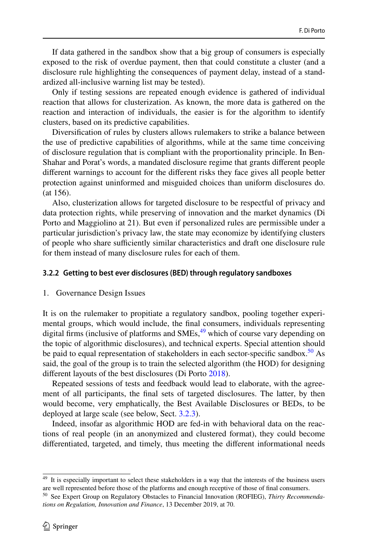If data gathered in the sandbox show that a big group of consumers is especially exposed to the risk of overdue payment, then that could constitute a cluster (and a disclosure rule highlighting the consequences of payment delay, instead of a standardized all-inclusive warning list may be tested).

Only if testing sessions are repeated enough evidence is gathered of individual reaction that allows for clusterization. As known, the more data is gathered on the reaction and interaction of individuals, the easier is for the algorithm to identify clusters, based on its predictive capabilities.

Diversifcation of rules by clusters allows rulemakers to strike a balance between the use of predictive capabilities of algorithms, while at the same time conceiving of disclosure regulation that is compliant with the proportionality principle. In Ben-Shahar and Porat's words, a mandated disclosure regime that grants diferent people diferent warnings to account for the diferent risks they face gives all people better protection against uninformed and misguided choices than uniform disclosures do. (at 156).

Also, clusterization allows for targeted disclosure to be respectful of privacy and data protection rights, while preserving of innovation and the market dynamics (Di Porto and Maggiolino at 21). But even if personalized rules are permissible under a particular jurisdiction's privacy law, the state may economize by identifying clusters of people who share sufficiently similar characteristics and draft one disclosure rule for them instead of many disclosure rules for each of them.

#### <span id="page-25-0"></span>**3.2.2 Getting to best ever disclosures (BED) through regulatory sandboxes**

#### 1. Governance Design Issues

It is on the rulemaker to propitiate a regulatory sandbox, pooling together experimental groups, which would include, the fnal consumers, individuals representing digital firms (inclusive of platforms and  $\text{SMEs}$ ,  $^{49}$  which of course vary depending on the topic of algorithmic disclosures), and technical experts. Special attention should be paid to equal representation of stakeholders in each sector-specific sandbox.<sup>50</sup> As said, the goal of the group is to train the selected algorithm (the HOD) for designing diferent layouts of the best disclosures (Di Porto [2018](#page-36-22)).

Repeated sessions of tests and feedback would lead to elaborate, with the agreement of all participants, the fnal sets of targeted disclosures. The latter, by then would become, very emphatically, the Best Available Disclosures or BEDs, to be deployed at large scale (see below, Sect. [3.2.3\)](#page-28-0).

Indeed, insofar as algorithmic HOD are fed-in with behavioral data on the reactions of real people (in an anonymized and clustered format), they could become diferentiated, targeted, and timely, thus meeting the diferent informational needs

<span id="page-25-1"></span><sup>&</sup>lt;sup>49</sup> It is especially important to select these stakeholders in a way that the interests of the business users are well represented before those of the platforms and enough receptive of those of fnal consumers.

<span id="page-25-2"></span><sup>50</sup> See Expert Group on Regulatory Obstacles to Financial Innovation (ROFIEG), *Thirty Recommendations on Regulation, Innovation and Finance*, 13 December 2019, at 70.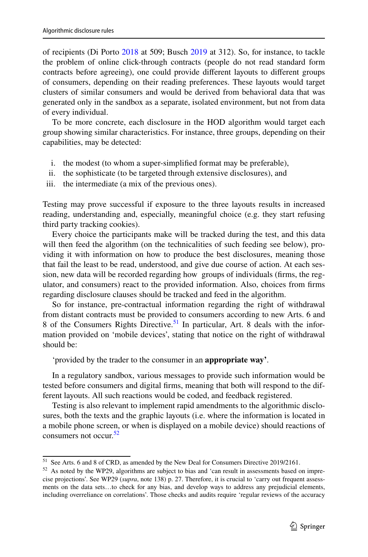of recipients (Di Porto [2018](#page-36-22) at 509; Busch [2019](#page-35-25) at 312). So, for instance, to tackle the problem of online click-through contracts (people do not read standard form contracts before agreeing), one could provide diferent layouts to diferent groups of consumers, depending on their reading preferences. These layouts would target clusters of similar consumers and would be derived from behavioral data that was generated only in the sandbox as a separate, isolated environment, but not from data of every individual.

To be more concrete, each disclosure in the HOD algorithm would target each group showing similar characteristics. For instance, three groups, depending on their capabilities, may be detected:

- i. the modest (to whom a super-simplifed format may be preferable),
- ii. the sophisticate (to be targeted through extensive disclosures), and
- iii. the intermediate (a mix of the previous ones).

Testing may prove successful if exposure to the three layouts results in increased reading, understanding and, especially, meaningful choice (e.g. they start refusing third party tracking cookies).

Every choice the participants make will be tracked during the test, and this data will then feed the algorithm (on the technicalities of such feeding see below), providing it with information on how to produce the best disclosures, meaning those that fail the least to be read, understood, and give due course of action. At each session, new data will be recorded regarding how groups of individuals (frms, the regulator, and consumers) react to the provided information. Also, choices from frms regarding disclosure clauses should be tracked and feed in the algorithm.

So for instance, pre-contractual information regarding the right of withdrawal from distant contracts must be provided to consumers according to new Arts. 6 and 8 of the Consumers Rights Directive.<sup>51</sup> In particular, Art. 8 deals with the information provided on 'mobile devices', stating that notice on the right of withdrawal should be:

'provided by the trader to the consumer in an **appropriate way'**.

In a regulatory sandbox, various messages to provide such information would be tested before consumers and digital frms, meaning that both will respond to the different layouts. All such reactions would be coded, and feedback registered.

Testing is also relevant to implement rapid amendments to the algorithmic disclosures, both the texts and the graphic layouts (i.e. where the information is located in a mobile phone screen, or when is displayed on a mobile device) should reactions of consumers not occur.<sup>[52](#page-26-1)</sup>

<span id="page-26-0"></span><sup>51</sup> See Arts. 6 and 8 of CRD, as amended by the New Deal for Consumers Directive 2019/2161.

<span id="page-26-1"></span><sup>52</sup> As noted by the WP29, algorithms are subject to bias and 'can result in assessments based on imprecise projections'. See WP29 (*supra*, note 138) p. 27. Therefore, it is crucial to 'carry out frequent assessments on the data sets…to check for any bias, and develop ways to address any prejudicial elements, including overreliance on correlations'. Those checks and audits require 'regular reviews of the accuracy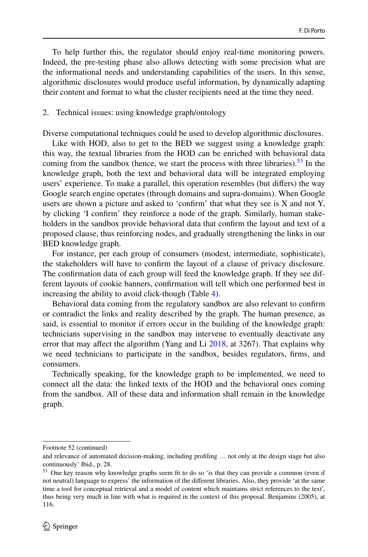To help further this, the regulator should enjoy real-time monitoring powers. Indeed, the pre-testing phase also allows detecting with some precision what are the informational needs and understanding capabilities of the users. In this sense, algorithmic disclosures would produce useful information, by dynamically adapting their content and format to what the cluster recipients need at the time they need.

#### 2. Technical issues: using knowledge graph/ontology

Diverse computational techniques could be used to develop algorithmic disclosures.

Like with HOD, also to get to the BED we suggest using a knowledge graph: this way, the textual libraries from the HOD can be enriched with behavioral data coming from the sandbox (hence, we start the process with three libraries).<sup>53</sup> In the knowledge graph, both the text and behavioral data will be integrated employing users' experience. To make a parallel, this operation resembles (but difers) the way Google search engine operates (through domains and supra-domains). When Google users are shown a picture and asked to 'confrm' that what they see is X and not Y, by clicking 'I confrm' they reinforce a node of the graph. Similarly, human stakeholders in the sandbox provide behavioral data that confrm the layout and text of a proposed clause, thus reinforcing nodes, and gradually strengthening the links in our BED knowledge graph.

For instance, per each group of consumers (modest, intermediate, sophisticate), the stakeholders will have to confrm the layout of a clause of privacy disclosure. The confrmation data of each group will feed the knowledge graph. If they see different layouts of cookie banners, confrmation will tell which one performed best in increasing the ability to avoid click-though (Table [4](#page-28-1)).

Behavioral data coming from the regulatory sandbox are also relevant to confrm or contradict the links and reality described by the graph. The human presence, as said, is essential to monitor if errors occur in the building of the knowledge graph: technicians supervising in the sandbox may intervene to eventually deactivate any error that may affect the algorithm (Yang and Li  $2018$ , at 3267). That explains why we need technicians to participate in the sandbox, besides regulators, frms, and consumers.

Technically speaking, for the knowledge graph to be implemented, we need to connect all the data: the linked texts of the HOD and the behavioral ones coming from the sandbox. All of these data and information shall remain in the knowledge graph.

Footnote 52 (continued)

and relevance of automated decision-making, including profling … not only at the design stage but also continuously' Ibid., p. 28.

<span id="page-27-0"></span><sup>&</sup>lt;sup>53</sup> One key reason why knowledge graphs seem fit to do so 'is that they can provide a common (even if not neutral) language to express' the information of the diferent libraries. Also, they provide 'at the same time a tool for conceptual retrieval and a model of content which maintains strict references to the text', thus being very much in line with what is required in the context of this proposal. Benjamins (2005), at 116.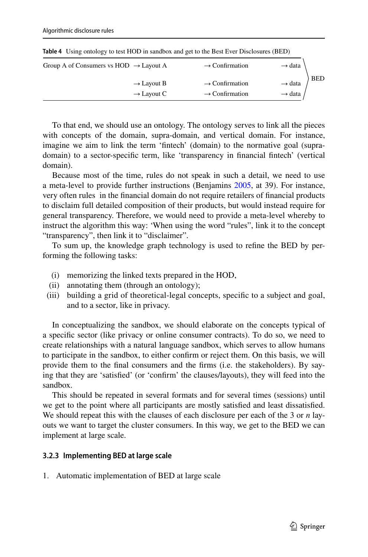| Group A of Consumers vs $HOD \rightarrow Layout A$ | $\rightarrow$ Confirmation | $\rightarrow$ data  |            |
|----------------------------------------------------|----------------------------|---------------------|------------|
| $\rightarrow$ Layout B                             | $\rightarrow$ Confirmation | $\rightarrow$ data  | <b>BED</b> |
| $\rightarrow$ Layout C                             | $\rightarrow$ Confirmation | $\rightarrow$ data, |            |

<span id="page-28-1"></span>**Table 4** Using ontology to test HOD in sandbox and get to the Best Ever Disclosures (BED)

To that end, we should use an ontology. The ontology serves to link all the pieces with concepts of the domain, supra-domain, and vertical domain. For instance, imagine we aim to link the term 'fntech' (domain) to the normative goal (supradomain) to a sector-specifc term, like 'transparency in fnancial fntech' (vertical domain).

Because most of the time, rules do not speak in such a detail, we need to use a meta-level to provide further instructions (Benjamins [2005,](#page-35-18) at 39). For instance, very often rules in the fnancial domain do not require retailers of fnancial products to disclaim full detailed composition of their products, but would instead require for general transparency. Therefore, we would need to provide a meta-level whereby to instruct the algorithm this way: 'When using the word "rules", link it to the concept "transparency", then link it to "disclaimer".

To sum up, the knowledge graph technology is used to refne the BED by performing the following tasks:

- (i) memorizing the linked texts prepared in the HOD,
- (ii) annotating them (through an ontology);
- (iii) building a grid of theoretical-legal concepts, specifc to a subject and goal, and to a sector, like in privacy.

In conceptualizing the sandbox, we should elaborate on the concepts typical of a specifc sector (like privacy or online consumer contracts). To do so, we need to create relationships with a natural language sandbox, which serves to allow humans to participate in the sandbox, to either confrm or reject them. On this basis, we will provide them to the fnal consumers and the frms (i.e. the stakeholders). By saying that they are 'satisfed' (or 'confrm' the clauses/layouts), they will feed into the sandbox.

This should be repeated in several formats and for several times (sessions) until we get to the point where all participants are mostly satisfed and least dissatisfed. We should repeat this with the clauses of each disclosure per each of the 3 or *n* layouts we want to target the cluster consumers. In this way, we get to the BED we can implement at large scale.

### <span id="page-28-0"></span>**3.2.3 Implementing BED at large scale**

1. Automatic implementation of BED at large scale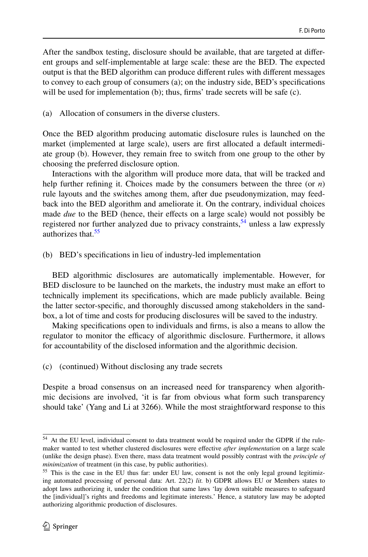After the sandbox testing, disclosure should be available, that are targeted at diferent groups and self-implementable at large scale: these are the BED. The expected output is that the BED algorithm can produce diferent rules with diferent messages to convey to each group of consumers (a); on the industry side, BED's specifcations will be used for implementation (b); thus, firms' trade secrets will be safe (c).

(a) Allocation of consumers in the diverse clusters.

Once the BED algorithm producing automatic disclosure rules is launched on the market (implemented at large scale), users are frst allocated a default intermediate group (b). However, they remain free to switch from one group to the other by choosing the preferred disclosure option.

Interactions with the algorithm will produce more data, that will be tracked and help further refning it. Choices made by the consumers between the three (or *n*) rule layouts and the switches among them, after due pseudonymization, may feedback into the BED algorithm and ameliorate it. On the contrary, individual choices made *due* to the BED (hence, their efects on a large scale) would not possibly be registered nor further analyzed due to privacy constraints,  $54$  unless a law expressly authorizes that.<sup>[55](#page-29-1)</sup>

(b) BED's specifcations in lieu of industry-led implementation

BED algorithmic disclosures are automatically implementable. However, for BED disclosure to be launched on the markets, the industry must make an efort to technically implement its specifcations, which are made publicly available. Being the latter sector-specifc, and thoroughly discussed among stakeholders in the sandbox, a lot of time and costs for producing disclosures will be saved to the industry.

Making specifcations open to individuals and frms, is also a means to allow the regulator to monitor the efficacy of algorithmic disclosure. Furthermore, it allows for accountability of the disclosed information and the algorithmic decision.

(c) (continued) Without disclosing any trade secrets

Despite a broad consensus on an increased need for transparency when algorithmic decisions are involved, 'it is far from obvious what form such transparency should take' (Yang and Li at 3266). While the most straightforward response to this

<span id="page-29-0"></span><sup>54</sup> At the EU level, individual consent to data treatment would be required under the GDPR if the rulemaker wanted to test whether clustered disclosures were efective *after implementation* on a large scale (unlike the design phase). Even there, mass data treatment would possibly contrast with the *principle of minimization* of treatment (in this case, by public authorities).

<span id="page-29-1"></span><sup>&</sup>lt;sup>55</sup> This is the case in the EU thus far: under EU law, consent is not the only legal ground legitimizing automated processing of personal data: Art. 22(2) *lit.* b) GDPR allows EU or Members states to adopt laws authorizing it, under the condition that same laws 'lay down suitable measures to safeguard the [individual]'s rights and freedoms and legitimate interests.' Hence, a statutory law may be adopted authorizing algorithmic production of disclosures.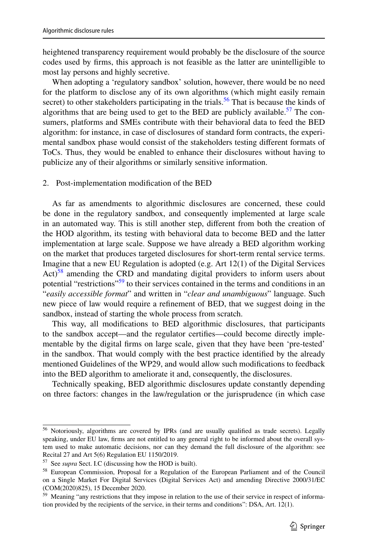heightened transparency requirement would probably be the disclosure of the source codes used by frms, this approach is not feasible as the latter are unintelligible to most lay persons and highly secretive.

When adopting a 'regulatory sandbox' solution, however, there would be no need for the platform to disclose any of its own algorithms (which might easily remain secret) to other stakeholders participating in the trials.<sup>56</sup> That is because the kinds of algorithms that are being used to get to the BED are publicly available.<sup>57</sup> The consumers, platforms and SMEs contribute with their behavioral data to feed the BED algorithm: for instance, in case of disclosures of standard form contracts, the experimental sandbox phase would consist of the stakeholders testing diferent formats of ToCs. Thus, they would be enabled to enhance their disclosures without having to publicize any of their algorithms or similarly sensitive information.

### 2. Post-implementation modifcation of the BED

As far as amendments to algorithmic disclosures are concerned, these could be done in the regulatory sandbox, and consequently implemented at large scale in an automated way. This is still another step, diferent from both the creation of the HOD algorithm, its testing with behavioral data to become BED and the latter implementation at large scale. Suppose we have already a BED algorithm working on the market that produces targeted disclosures for short-term rental service terms. Imagine that a new EU Regulation is adopted (e.g. Art 12(1) of the Digital Services  $Act)^{58}$  amending the CRD and mandating digital providers to inform users about potential "restrictions"<sup>59</sup> to their services contained in the terms and conditions in an "*easily accessible format*" and written in "*clear and unambiguous*" language. Such new piece of law would require a refnement of BED, that we suggest doing in the sandbox, instead of starting the whole process from scratch.

This way, all modifcations to BED algorithmic disclosures, that participants to the sandbox accept—and the regulator certifes—could become directly implementable by the digital frms on large scale, given that they have been 'pre-tested' in the sandbox. That would comply with the best practice identifed by the already mentioned Guidelines of the WP29, and would allow such modifcations to feedback into the BED algorithm to ameliorate it and, consequently, the disclosures.

Technically speaking, BED algorithmic disclosures update constantly depending on three factors: changes in the law/regulation or the jurisprudence (in which case

<span id="page-30-0"></span><sup>&</sup>lt;sup>56</sup> Notoriously, algorithms are covered by IPRs (and are usually qualified as trade secrets). Legally speaking, under EU law, frms are not entitled to any general right to be informed about the overall system used to make automatic decisions, nor can they demand the full disclosure of the algorithm: see Recital 27 and Art 5(6) Regulation EU 1150/2019.

<span id="page-30-1"></span><sup>57</sup> See *supra* Sect. I.C (discussing how the HOD is built).

<span id="page-30-2"></span><sup>58</sup> European Commission, Proposal for a Regulation of the European Parliament and of the Council on a Single Market For Digital Services (Digital Services Act) and amending Directive 2000/31/EC (COM(2020)825), 15 December 2020.

<span id="page-30-3"></span><sup>&</sup>lt;sup>59</sup> Meaning "any restrictions that they impose in relation to the use of their service in respect of information provided by the recipients of the service, in their terms and conditions": DSA, Art. 12(1).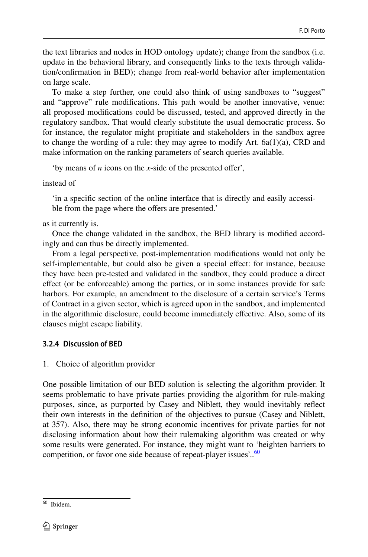the text libraries and nodes in HOD ontology update); change from the sandbox (i.e. update in the behavioral library, and consequently links to the texts through validation/confrmation in BED); change from real-world behavior after implementation on large scale.

To make a step further, one could also think of using sandboxes to "suggest" and "approve" rule modifcations. This path would be another innovative, venue: all proposed modifcations could be discussed, tested, and approved directly in the regulatory sandbox. That would clearly substitute the usual democratic process. So for instance, the regulator might propitiate and stakeholders in the sandbox agree to change the wording of a rule: they may agree to modify Art. 6a(1)(a), CRD and make information on the ranking parameters of search queries available.

'by means of *n* icons on the *x*-side of the presented offer',

instead of

'in a specifc section of the online interface that is directly and easily accessible from the page where the offers are presented.'

as it currently is.

Once the change validated in the sandbox, the BED library is modifed accordingly and can thus be directly implemented.

From a legal perspective, post-implementation modifcations would not only be self-implementable, but could also be given a special efect: for instance, because they have been pre-tested and validated in the sandbox, they could produce a direct efect (or be enforceable) among the parties, or in some instances provide for safe harbors. For example, an amendment to the disclosure of a certain service's Terms of Contract in a given sector, which is agreed upon in the sandbox, and implemented in the algorithmic disclosure, could become immediately efective. Also, some of its clauses might escape liability.

## <span id="page-31-0"></span>**3.2.4 Discussion of BED**

1. Choice of algorithm provider

One possible limitation of our BED solution is selecting the algorithm provider. It seems problematic to have private parties providing the algorithm for rule-making purposes, since, as purported by Casey and Niblett, they would inevitably refect their own interests in the defnition of the objectives to pursue (Casey and Niblett, at 357). Also, there may be strong economic incentives for private parties for not disclosing information about how their rulemaking algorithm was created or why some results were generated. For instance, they might want to 'heighten barriers to competition, or favor one side because of repeat-player issues'..<sup>[60](#page-31-1)</sup>

<span id="page-31-1"></span><sup>60</sup> Ibidem.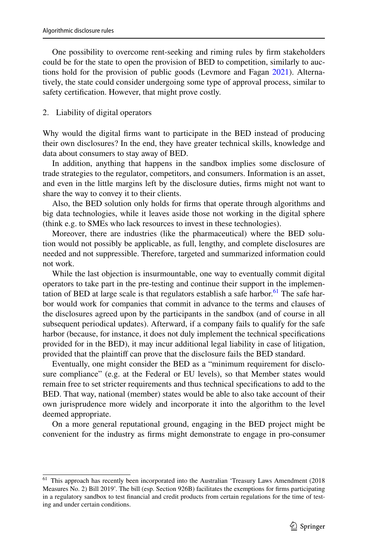One possibility to overcome rent-seeking and riming rules by frm stakeholders could be for the state to open the provision of BED to competition, similarly to auctions hold for the provision of public goods (Levmore and Fagan [2021](#page-36-23)). Alternatively, the state could consider undergoing some type of approval process, similar to safety certifcation. However, that might prove costly.

## 2. Liability of digital operators

Why would the digital frms want to participate in the BED instead of producing their own disclosures? In the end, they have greater technical skills, knowledge and data about consumers to stay away of BED.

In addition, anything that happens in the sandbox implies some disclosure of trade strategies to the regulator, competitors, and consumers. Information is an asset, and even in the little margins left by the disclosure duties, frms might not want to share the way to convey it to their clients.

Also, the BED solution only holds for frms that operate through algorithms and big data technologies, while it leaves aside those not working in the digital sphere (think e.g. to SMEs who lack resources to invest in these technologies).

Moreover, there are industries (like the pharmaceutical) where the BED solution would not possibly be applicable, as full, lengthy, and complete disclosures are needed and not suppressible. Therefore, targeted and summarized information could not work.

While the last objection is insurmountable, one way to eventually commit digital operators to take part in the pre-testing and continue their support in the implemen-tation of BED at large scale is that regulators establish a safe harbor.<sup>[61](#page-32-0)</sup> The safe harbor would work for companies that commit in advance to the terms and clauses of the disclosures agreed upon by the participants in the sandbox (and of course in all subsequent periodical updates). Afterward, if a company fails to qualify for the safe harbor (because, for instance, it does not duly implement the technical specifcations provided for in the BED), it may incur additional legal liability in case of litigation, provided that the plaintif can prove that the disclosure fails the BED standard.

Eventually, one might consider the BED as a "minimum requirement for disclosure compliance" (e.g. at the Federal or EU levels), so that Member states would remain free to set stricter requirements and thus technical specifcations to add to the BED. That way, national (member) states would be able to also take account of their own jurisprudence more widely and incorporate it into the algorithm to the level deemed appropriate.

On a more general reputational ground, engaging in the BED project might be convenient for the industry as frms might demonstrate to engage in pro-consumer

<span id="page-32-0"></span><sup>&</sup>lt;sup>61</sup> This approach has recently been incorporated into the Australian 'Treasury Laws Amendment (2018 Measures No. 2) Bill 2019'. The bill (esp. Section 926B) facilitates the exemptions for frms participating in a regulatory sandbox to test fnancial and credit products from certain regulations for the time of testing and under certain conditions.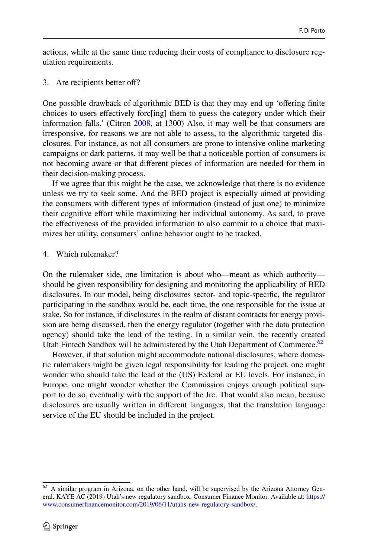actions, while at the same time reducing their costs of compliance to disclosure regulation requirements.

3. Are recipients better of?

One possible drawback of algorithmic BED is that they may end up 'ofering fnite choices to users efectively forc[ing] them to guess the category under which their information falls.' (Citron [2008,](#page-35-22) at 1300) Also, it may well be that consumers are irresponsive, for reasons we are not able to assess, to the algorithmic targeted disclosures. For instance, as not all consumers are prone to intensive online marketing campaigns or dark patterns, it may well be that a noticeable portion of consumers is not becoming aware or that diferent pieces of information are needed for them in their decision-making process.

If we agree that this might be the case, we acknowledge that there is no evidence unless we try to seek some. And the BED project is especially aimed at providing the consumers with diferent types of information (instead of just one) to minimize their cognitive efort while maximizing her individual autonomy. As said, to prove the efectiveness of the provided information to also commit to a choice that maximizes her utility, consumers' online behavior ought to be tracked.

#### 4. Which rulemaker?

On the rulemaker side, one limitation is about who—meant as which authority should be given responsibility for designing and monitoring the applicability of BED disclosures. In our model, being disclosures sector- and topic-specifc, the regulator participating in the sandbox would be, each time, the one responsible for the issue at stake. So for instance, if disclosures in the realm of distant contracts for energy provision are being discussed, then the energy regulator (together with the data protection agency) should take the lead of the testing. In a similar vein, the recently created Utah Fintech Sandbox will be administered by the Utah Department of Commerce.<sup>62</sup>

However, if that solution might accommodate national disclosures, where domestic rulemakers might be given legal responsibility for leading the project, one might wonder who should take the lead at the (US) Federal or EU levels. For instance, in Europe, one might wonder whether the Commission enjoys enough political support to do so, eventually with the support of the Jrc. That would also mean, because disclosures are usually written in diferent languages, that the translation language service of the EU should be included in the project.

<span id="page-33-0"></span><sup>62</sup> A similar program in Arizona, on the other hand, will be supervised by the Arizona Attorney General. KAYE AC (2019) Utah's new regulatory sandbox. Consumer Finance Monitor. Available at: [https://](https://www.consumerfinancemonitor.com/2019/06/11/utahs-new-regulatory-sandbox/) [www.consumerfnancemonitor.com/2019/06/11/utahs-new-regulatory-sandbox/](https://www.consumerfinancemonitor.com/2019/06/11/utahs-new-regulatory-sandbox/).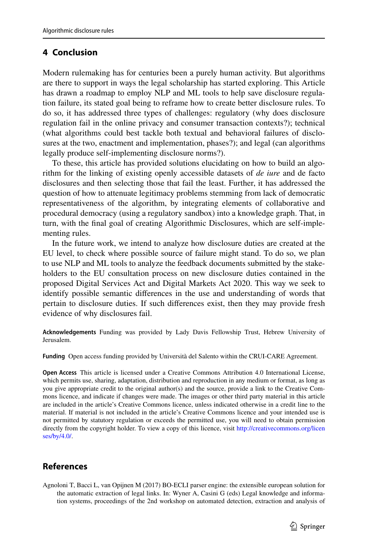## **4 Conclusion**

Modern rulemaking has for centuries been a purely human activity. But algorithms are there to support in ways the legal scholarship has started exploring. This Article has drawn a roadmap to employ NLP and ML tools to help save disclosure regulation failure, its stated goal being to reframe how to create better disclosure rules. To do so, it has addressed three types of challenges: regulatory (why does disclosure regulation fail in the online privacy and consumer transaction contexts?); technical (what algorithms could best tackle both textual and behavioral failures of disclosures at the two, enactment and implementation, phases?); and legal (can algorithms legally produce self-implementing disclosure norms?).

To these, this article has provided solutions elucidating on how to build an algorithm for the linking of existing openly accessible datasets of *de iure* and de facto disclosures and then selecting those that fail the least. Further, it has addressed the question of how to attenuate legitimacy problems stemming from lack of democratic representativeness of the algorithm, by integrating elements of collaborative and procedural democracy (using a regulatory sandbox) into a knowledge graph. That, in turn, with the fnal goal of creating Algorithmic Disclosures, which are self-implementing rules.

In the future work, we intend to analyze how disclosure duties are created at the EU level, to check where possible source of failure might stand. To do so, we plan to use NLP and ML tools to analyze the feedback documents submitted by the stakeholders to the EU consultation process on new disclosure duties contained in the proposed Digital Services Act and Digital Markets Act 2020. This way we seek to identify possible semantic diferences in the use and understanding of words that pertain to disclosure duties. If such diferences exist, then they may provide fresh evidence of why disclosures fail.

**Acknowledgements** Funding was provided by Lady Davis Fellowship Trust, Hebrew University of Jerusalem.

**Funding** Open access funding provided by Università del Salento within the CRUI-CARE Agreement.

**Open Access** This article is licensed under a Creative Commons Attribution 4.0 International License, which permits use, sharing, adaptation, distribution and reproduction in any medium or format, as long as you give appropriate credit to the original author(s) and the source, provide a link to the Creative Commons licence, and indicate if changes were made. The images or other third party material in this article are included in the article's Creative Commons licence, unless indicated otherwise in a credit line to the material. If material is not included in the article's Creative Commons licence and your intended use is not permitted by statutory regulation or exceeds the permitted use, you will need to obtain permission directly from the copyright holder. To view a copy of this licence, visit [http://creativecommons.org/licen](http://creativecommons.org/licenses/by/4.0/) [ses/by/4.0/](http://creativecommons.org/licenses/by/4.0/).

# **References**

<span id="page-34-0"></span>Agnoloni T, Bacci L, van Opijnen M (2017) BO-ECLI parser engine: the extensible european solution for the automatic extraction of legal links. In: Wyner A, Casini G (eds) Legal knowledge and information systems, proceedings of the 2nd workshop on automated detection, extraction and analysis of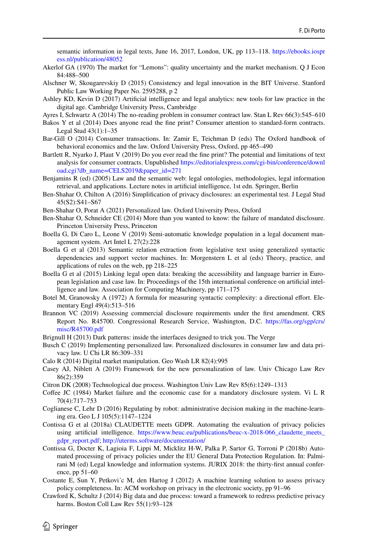semantic information in legal texts, June 16, 2017, London, UK, pp 113–118. [https://ebooks.iospr](https://ebooks.iospress.nl/publication/48052) [ess.nl/publication/48052](https://ebooks.iospress.nl/publication/48052)

- <span id="page-35-9"></span>Akerlof GA (1970) The market for "Lemons": quality uncertainty and the market mechanism. Q J Econ 84:488–500
- <span id="page-35-19"></span>Alschner W, Skougarevskiy D (2015) Consistency and legal innovation in the BIT Universe. Stanford Public Law Working Paper No. 2595288, p 2
- <span id="page-35-3"></span>Ashley KD, Kevin D (2017) Artifcial intelligence and legal analytics: new tools for law practice in the digital age. Cambridge University Press, Cambridge
- <span id="page-35-4"></span>Ayres I, Schwartz A (2014) The no-reading problem in consumer contract law. Stan L Rev 66(3):545–610
- <span id="page-35-2"></span>Bakos Y et al (2014) Does anyone read the fne print? Consumer attention to standard-form contracts. Legal Stud 43(1):1–35
- <span id="page-35-0"></span>Bar-Gill O (2014) Consumer transactions. In: Zamir E, Teichman D (eds) The Oxford handbook of behavioral economics and the law. Oxford University Press, Oxford, pp 465–490
- <span id="page-35-5"></span>Bartlett R, Nyarko J, Plaut V (2019) Do you ever read the fne print? The potential and limitations of text analysis for consumer contracts. Unpublished [https://editorialexpress.com/cgi-bin/conference/downl](https://editorialexpress.com/cgi-bin/conference/download.cgi?db_name=CELS2019&paper_id=271) [oad.cgi?db\\_name=CELS2019&paper\\_id=271](https://editorialexpress.com/cgi-bin/conference/download.cgi?db_name=CELS2019&paper_id=271)
- <span id="page-35-18"></span>Benjamins R (ed) (2005) Law and the semantic web: legal ontologies, methodologies, legal information retrieval, and applications. Lecture notes in artifcial intelligence, 1st edn. Springer, Berlin
- <span id="page-35-21"></span>Ben-Shahar O, Chilton A (2016) Simplifcation of privacy disclosures: an experimental test. J Legal Stud 45(S2):S41–S67
- <span id="page-35-26"></span>Ben-Shahar O, Porat A (2021) Personalized law. Oxford University Press, Oxford
- <span id="page-35-1"></span>Ben-Shahar O, Schneider CE (2014) More than you wanted to know: the failure of mandated disclosure. Princeton University Press, Princeton
- <span id="page-35-14"></span>Boella G, Di Caro L, Leone V (2019) Semi-automatic knowledge population in a legal document management system. Art Intel L 27(2):228
- <span id="page-35-12"></span>Boella G et al (2013) Semantic relation extraction from legislative text using generalized syntactic dependencies and support vector machines. In: Morgenstern L et al (eds) Theory, practice, and applications of rules on the web, pp 218–225
- <span id="page-35-13"></span>Boella G et al (2015) Linking legal open data: breaking the accessibility and language barrier in European legislation and case law. In: Proceedings of the 15th international conference on artifcial intelligence and law. Association for Computing Machinery, pp 171–175
- <span id="page-35-17"></span>Botel M, Granowsky A (1972) A formula for measuring syntactic complexity: a directional efort. Elementary Engl 49(4):513–516
- <span id="page-35-15"></span>Brannon VC (2019) Assessing commercial disclosure requirements under the frst amendment. CRS Report No. R45700. Congressional Research Service, Washington, D.C. [https://fas.org/sgp/crs/](https://fas.org/sgp/crs/misc/R45700.pdf) [misc/R45700.pdf](https://fas.org/sgp/crs/misc/R45700.pdf)
- <span id="page-35-11"></span>Brignull H (2013) Dark patterns: inside the interfaces designed to trick you. The Verge
- <span id="page-35-25"></span>Busch C (2019) Implementing personalized law. Personalized disclosures in consumer law and data privacy law. U Chi LR 86:309–331
- <span id="page-35-8"></span>Calo R (2014) Digital market manipulation. Geo Wash LR 82(4):995
- <span id="page-35-20"></span>Casey AJ, Niblett A (2019) Framework for the new personalization of law. Univ Chicago Law Rev 86(2):359
- <span id="page-35-22"></span>Citron DK (2008) Technological due process. Washington Univ Law Rev 85(6):1249–1313
- <span id="page-35-10"></span>Coffee JC (1984) Market failure and the economic case for a mandatory disclosure system. Vi L R 70(4):717–753
- <span id="page-35-24"></span>Coglianese C, Lehr D (2016) Regulating by robot: administrative decision making in the machine-learning era. Geo L J 105(5):1147–1224
- <span id="page-35-6"></span>Contissa G et al (2018a) CLAUDETTE meets GDPR. Automating the evaluation of privacy policies using artificial intelligence. [https://www.beuc.eu/publications/beuc-x-2018-066\\_claudette\\_meets\\_](https://www.beuc.eu/publications/beuc-x-2018-066_claudette_meets_gdpr_report.pdf) [gdpr\\_report.pdf;](https://www.beuc.eu/publications/beuc-x-2018-066_claudette_meets_gdpr_report.pdf) <http://uterms.software/documentation/>
- <span id="page-35-7"></span>Contissa G, Docter K, Lagioia F, Lippi M, Micklitz H-W, Palka P, Sartor G, Torroni P (2018b) Automated processing of privacy policies under the EU General Data Protection Regulation. In: Palmirani M (ed) Legal knowledge and information systems. JURIX 2018: the thirty-frst annual conference, pp 51–60
- <span id="page-35-16"></span>Costante E, Sun Y, Petkovi´c M, den Hartog J (2012) A machine learning solution to assess privacy policy completeness. In: ACM workshop on privacy in the electronic society, pp 91–96
- <span id="page-35-23"></span>Crawford K, Schultz J (2014) Big data and due process: toward a framework to redress predictive privacy harms. Boston Coll Law Rev 55(1):93–128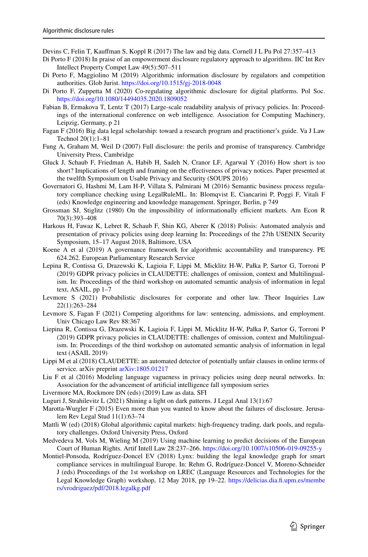- <span id="page-36-20"></span>Devins C, Felin T, Kaufman S, Koppl R (2017) The law and big data. Cornell J L Pu Pol 27:357–413
- <span id="page-36-22"></span>Di Porto F (2018) In praise of an empowerment disclosure regulatory approach to algorithms. IIC Int Rev Intellect Property Compet Law 49(5):507–511
- <span id="page-36-18"></span>Di Porto F, Maggiolino M (2019) Algorithmic information disclosure by regulators and competition authorities. Glob Jurist.<https://doi.org/10.1515/gj-2018-0048>
- <span id="page-36-11"></span>Di Porto F, Zuppetta M (2020) Co-regulating algorithmic disclosure for digital platforms. Pol Soc. <https://doi.org/10.1080/14494035.2020.1809052>
- <span id="page-36-15"></span>Fabian B, Ermakova T, Lentz T (2017) Large-scale readability analysis of privacy policies. In: Proceedings of the international conference on web intelligence. Association for Computing Machinery, Leipzig, Germany, p 21
- <span id="page-36-0"></span>Fagan F (2016) Big data legal scholarship: toward a research program and practitioner's guide. Va J Law Technol 20(1):1–81
- <span id="page-36-17"></span>Fung A, Graham M, Weil D (2007) Full disclosure: the perils and promise of transparency. Cambridge University Press, Cambridge
- <span id="page-36-12"></span>Gluck J, Schaub F, Friedman A, Habib H, Sadeh N, Cranor LF, Agarwal Y (2016) How short is too short? Implications of length and framing on the efectiveness of privacy notices. Paper presented at the twelfth Symposium on Usable Privacy and Security (SOUPS 2016)
- <span id="page-36-13"></span>Governatori G, Hashmi M, Lam H-P, Villata S, Palmirani M (2016) Semantic business process regulatory compliance checking using LegalRuleML. In: Blomqvist E, Ciancarini P, Poggi F, Vitali F (eds) Knowledge engineering and knowledge management. Springer, Berlin, p 749
- <span id="page-36-10"></span>Grossman SJ, Stiglitz (1980) On the impossibility of informationally efficient markets. Am Econ R 70(3):393–408
- <span id="page-36-5"></span>Harkous H, Fawaz K, Lebret R, Schaub F, Shin KG, Aberer K (2018) Polisis: Automated analysis and presentation of privacy policies using deep learning In: Proceedings of the 27th USENIX Security Symposium, 15–17 August 2018, Baltimore, USA
- <span id="page-36-19"></span>Koene A et al (2019) A governance framework for algorithmic accountability and transparency. PE 624.262. European Parliamentary Research Service
- <span id="page-36-7"></span>Lepina R, Contissa G, Drazewski K, Lagioia F, Lippi M, Micklitz H-W, Pałka P, Sartor G, Torroni P (2019) GDPR privacy policies in CLAUDETTE: challenges of omission, context and Multilingualism. In: Proceedings of the third workshop on automated semantic analysis of information in legal text, ASAIL, pp 1–7
- <span id="page-36-6"></span>Levmore S (2021) Probabilistic disclosures for corporate and other law. Theor Inquiries Law 22(1):263–284
- <span id="page-36-23"></span>Levmore S, Fagan F (2021) Competing algorithms for law: sentencing, admissions, and employment. Univ Chicago Law Rev 88:367
- <span id="page-36-14"></span>Liepina R, Contissa G, Drazewski K, Lagioia F, Lippi M, Micklitz H-W, Pałka P, Sartor G, Torroni P (2019) GDPR privacy policies in CLAUDETTE: challenges of omission, context and Multilingualism. In: Proceedings of the third workshop on automated semantic analysis of information in legal text (ASAIL 2019)
- <span id="page-36-9"></span>Lippi M et al (2018) CLAUDETTE: an automated detector of potentially unfair clauses in online terms of service. arXiv preprint [arXiv:1805.01217](http://arxiv.org/abs/1805.01217)
- <span id="page-36-8"></span>Liu F et al (2016) Modeling language vagueness in privacy policies using deep neural networks. In: Association for the advancement of artifcial intelligence fall symposium series
- <span id="page-36-4"></span>Livermore MA, Rockmore DN (eds) (2019) Law as data. SFI
- <span id="page-36-2"></span>Luguri J, Strahilevitz L (2021) Shining a light on dark patterns. J Legal Anal 13(1):67
- <span id="page-36-3"></span>Marotta-Wurgler F (2015) Even more than you wanted to know about the failures of disclosure. Jerusalem Rev Legal Stud 11(1):63–74
- <span id="page-36-21"></span>Mattli W (ed) (2018) Global algorithmic capital markets: high-frequency trading, dark pools, and regulatory challenges. Oxford University Press, Oxford
- <span id="page-36-1"></span>Medvedeva M, Vols M, Wieling M (2019) Using machine learning to predict decisions of the European Court of Human Rights. Artif Intell Law 28:237–266.<https://doi.org/10.1007/s10506-019-09255-y>
- <span id="page-36-16"></span>Montiel-Ponsoda, Rodríguez-Doncel EV (2018) Lynx: building the legal knowledge graph for smart compliance services in multilingual Europe. In: Rehm G, Rodríguez-Doncel V, Moreno-Schneider J (eds) Proceedings of the 1st workshop on LREC (Language Resources and Technologies for the Legal Knowledge Graph) workshop, 12 May 2018, pp 19–22. [https://delicias.dia.f.upm.es/membe](https://delicias.dia.fi.upm.es/members/vrodriguez/pdf/2018.legalkg.pdf) [rs/vrodriguez/pdf/2018.legalkg.pdf](https://delicias.dia.fi.upm.es/members/vrodriguez/pdf/2018.legalkg.pdf)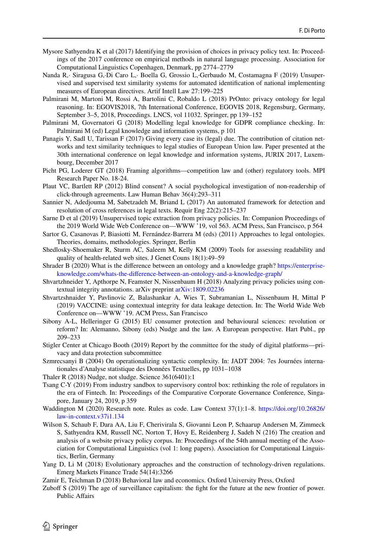- <span id="page-37-3"></span>Mysore Sathyendra K et al (2017) Identifying the provision of choices in privacy policy text. In: Proceedings of the 2017 conference on empirical methods in natural language processing. Association for Computational Linguistics Copenhagen, Denmark, pp 2774–2779
- <span id="page-37-14"></span>Nanda R,· Siragusa G,·Di Caro L,· Boella G, Grossio L,·Gerbaudo M, Costamagna F (2019) Unsupervised and supervised text similarity systems for automated identifcation of national implementing measures of European directives. Artif Intell Law 27:199–225
- <span id="page-37-7"></span>Palmirani M, Martoni M, Rossi A, Bartolini C, Robaldo L (2018) PrOnto: privacy ontology for legal reasoning. In: EGOVIS2018, 7th International Conference, EGOVIS 2018, Regensburg, Germany, September 3–5, 2018, Proceedings. LNCS, vol 11032. Springer, pp 139–152
- <span id="page-37-6"></span>Palmirani M, Governatori G (2018) Modelling legal knowledge for GDPR compliance checking. In: Palmirani M (ed) Legal knowledge and information systems, p 101
- <span id="page-37-11"></span>Panagis Y, Sadl U, Tarissan F (2017) Giving every case its (legal) due. The contribution of citation networks and text similarity techniques to legal studies of European Union law. Paper presented at the 30th international conference on legal knowledge and information systems, JURIX 2017, Luxembourg, December 2017
- <span id="page-37-22"></span>Picht PG, Loderer GT (2018) Framing algorithms—competition law and (other) regulatory tools. MPI Research Paper No. 18-24.
- <span id="page-37-2"></span>Plaut VC, Bartlett RP (2012) Blind consent? A social psychological investigation of non-readership of click-through agreements. Law Human Behav 36(4):293–311
- <span id="page-37-16"></span>Sannier N, Adedjouma M, Sabetzadeh M, Briand L (2017) An automated framework for detection and resolution of cross references in legal texts. Requir Eng 22(2):215–237
- <span id="page-37-10"></span>Sarne D et al (2019) Unsupervised topic extraction from privacy policies. In: Companion Proceedings of the 2019 World Wide Web Conference on—WWW '19, vol 563. ACM Press, San Francisco, p 564
- <span id="page-37-18"></span>Sartor G, Casanovas P, Biasiotti M, Fernández-Barrera M (eds) (2011) Approaches to legal ontologies. Theories, domains, methodologies. Springer, Berlin
- <span id="page-37-15"></span>Shedlosky-Shoemaker R, Sturm AC, Saleem M, Kelly KM (2009) Tools for assessing readability and quality of health-related web sites. J Genet Couns 18(1):49–59
- <span id="page-37-17"></span>Shrader B (2020) What is the diference between an ontology and a knowledge graph? [https://enterprise](https://enterprise-knowledge.com/whats-the-difference-between-an-ontology-and-a-knowledge-graph/)[knowledge.com/whats-the-diference-between-an-ontology-and-a-knowledge-graph/](https://enterprise-knowledge.com/whats-the-difference-between-an-ontology-and-a-knowledge-graph/)
- <span id="page-37-5"></span>Shvartzhneider Y, Apthorpe N, Feamster N, Nissenbaum H (2018) Analyzing privacy policies using contextual integrity annotations. arXiv preprint [arXiv:1809.02236](http://arxiv.org/abs/1809.02236)
- <span id="page-37-13"></span>Shvartzshnaider Y, Pavlinovic Z, Balashankar A, Wies T, Subramanian L, Nissenbaum H, Mittal P (2019) VACCINE: using contextual integrity for data leakage detection. In: The World Wide Web Conference on—WWW '19. ACM Press, San Francisco
- <span id="page-37-20"></span>Sibony A-L, Helleringer G (2015) EU consumer protection and behavioural sciences: revolution or reform? In: Alemanno, Sibony (eds) Nudge and the law. A European perspective. Hart Publ., pp 209–233
- <span id="page-37-0"></span>Stigler Center at Chicago Booth (2019) Report by the committee for the study of digital platforms—privacy and data protection subcommittee
- <span id="page-37-12"></span>Szmrecsanyi B (2004) On operationalizing syntactic complexity. In: JADT 2004: 7es Journées internationales d'Analyse statistique des Données Textuelles, pp 1031–1038
- <span id="page-37-1"></span>Thaler R (2018) Nudge, not sludge. Science 361(6401):1
- <span id="page-37-21"></span>Tsang C-Y (2019) From industry sandbox to supervisory control box: rethinking the role of regulators in the era of Fintech. In: Proceedings of the Comparative Corporate Governance Conference, Singapore, January 24, 2019, p 359
- <span id="page-37-8"></span>Waddington M (2020) Research note. Rules as code. Law Context 37(1):1–8. [https://doi.org/10.26826/](https://doi.org/10.26826/law-in-context.v37i1.134) [law-in-context.v37i1.134](https://doi.org/10.26826/law-in-context.v37i1.134)
- <span id="page-37-9"></span>Wilson S, Schaub F, Dara AA, Liu F, Cherivirala S, Giovanni Leon P, Schaarup Andersen M, Zimmeck S, Sathyendra KM, Russell NC, Norton T, Hovy E, Reidenberg J, Sadeh N (216) The creation and analysis of a website privacy policy corpus. In: Proceedings of the 54th annual meeting of the Association for Computational Linguistics (vol 1: long papers). Association for Computational Linguistics, Berlin, Germany
- <span id="page-37-23"></span>Yang D, Li M (2018) Evolutionary approaches and the construction of technology-driven regulations. Emerg Markets Finance Trade 54(14):3266

<span id="page-37-19"></span>Zamir E, Teichman D (2018) Behavioral law and economics. Oxford University Press, Oxford

<span id="page-37-4"></span>Zubof S (2019) The age of surveillance capitalism: the fght for the future at the new frontier of power. Public Afairs